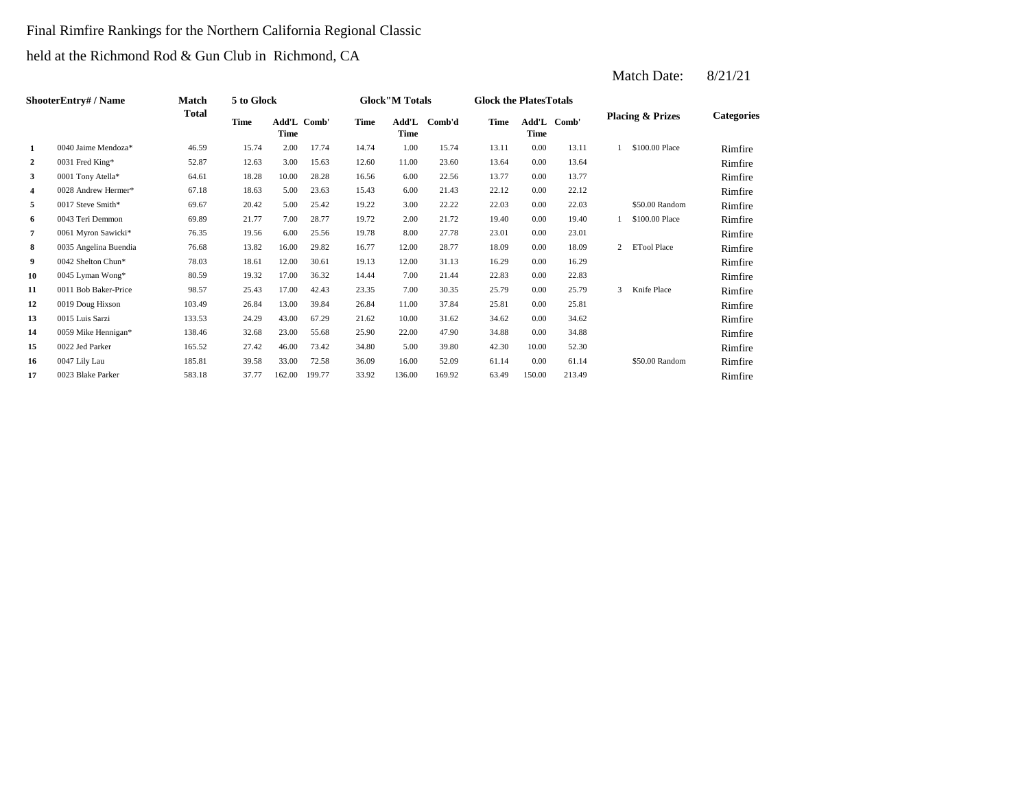#### Final Rimfire Rankings for the Northern California Regional Classic

held at the Richmond Rod & Gun Club in Richmond, CA

|                | <b>ShooterEntry#/Name</b> | Match        | 5 to Glock  |                            |        |       | <b>Glock</b> "M Totals |        | <b>Glock the PlatesTotals</b> |             |             |                |                             |                   |
|----------------|---------------------------|--------------|-------------|----------------------------|--------|-------|------------------------|--------|-------------------------------|-------------|-------------|----------------|-----------------------------|-------------------|
|                |                           | <b>Total</b> | <b>Time</b> | Add'L Comb'<br><b>Time</b> |        | Time  | Add'L<br>Time          | Comb'd | Time                          | <b>Time</b> | Add'L Comb' |                | <b>Placing &amp; Prizes</b> | <b>Categories</b> |
| 1              | 0040 Jaime Mendoza $*$    | 46.59        | 15.74       | 2.00                       | 17.74  | 14.74 | 1.00                   | 15.74  | 13.11                         | 0.00        | 13.11       |                | \$100,00 Place              | Rimfire           |
| $\overline{2}$ | 0031 Fred King*           | 52.87        | 12.63       | 3.00                       | 15.63  | 12.60 | 11.00                  | 23.60  | 13.64                         | 0.00        | 13.64       |                |                             | Rimfire           |
| 3              | 0001 Tony Atella*         | 64.61        | 18.28       | 10.00                      | 28.28  | 16.56 | 6.00                   | 22.56  | 13.77                         | 0.00        | 13.77       |                |                             | Rimfire           |
| 4              | 0028 Andrew Hermer*       | 67.18        | 18.63       | 5.00                       | 23.63  | 15.43 | 6.00                   | 21.43  | 22.12                         | 0.00        | 22.12       |                |                             | Rimfire           |
| 5              | 0017 Steve Smith*         | 69.67        | 20.42       | 5.00                       | 25.42  | 19.22 | 3.00                   | 22.22  | 22.03                         | 0.00        | 22.03       |                | \$50.00 Random              | Rimfire           |
| 6              | 0043 Teri Demmon          | 69.89        | 21.77       | 7.00                       | 28.77  | 19.72 | 2.00                   | 21.72  | 19.40                         | 0.00        | 19.40       |                | \$100,00 Place              | Rimfire           |
| $\overline{7}$ | 0061 Myron Sawicki*       | 76.35        | 19.56       | 6.00                       | 25.56  | 19.78 | 8.00                   | 27.78  | 23.01                         | 0.00        | 23.01       |                |                             | Rimfire           |
| 8              | 0035 Angelina Buendia     | 76.68        | 13.82       | 16.00                      | 29.82  | 16.77 | 12.00                  | 28.77  | 18.09                         | 0.00        | 18.09       | $\overline{2}$ | <b>ETool Place</b>          | Rimfire           |
| 9              | 0042 Shelton Chun*        | 78.03        | 18.61       | 12.00                      | 30.61  | 19.13 | 12.00                  | 31.13  | 16.29                         | 0.00        | 16.29       |                |                             | Rimfire           |
| 10             | 0045 Lyman Wong*          | 80.59        | 19.32       | 17.00                      | 36.32  | 14.44 | 7.00                   | 21.44  | 22.83                         | 0.00        | 22.83       |                |                             | Rimfire           |
| 11             | 0011 Bob Baker-Price      | 98.57        | 25.43       | 17.00                      | 42.43  | 23.35 | 7.00                   | 30.35  | 25.79                         | 0.00        | 25.79       | 3              | Knife Place                 | Rimfire           |
| 12             | 0019 Doug Hixson          | 103.49       | 26.84       | 13.00                      | 39.84  | 26.84 | 11.00                  | 37.84  | 25.81                         | 0.00        | 25.81       |                |                             | Rimfire           |
| 13             | 0015 Luis Sarzi           | 133.53       | 24.29       | 43.00                      | 67.29  | 21.62 | 10.00                  | 31.62  | 34.62                         | 0.00        | 34.62       |                |                             | Rimfire           |
| 14             | 0059 Mike Hennigan*       | 138.46       | 32.68       | 23.00                      | 55.68  | 25.90 | 22.00                  | 47.90  | 34.88                         | 0.00        | 34.88       |                |                             | Rimfire           |
| 15             | 0022 Jed Parker           | 165.52       | 27.42       | 46.00                      | 73.42  | 34.80 | 5.00                   | 39.80  | 42.30                         | 10.00       | 52.30       |                |                             | Rimfire           |
| 16             | 0047 Lily Lau             | 185.81       | 39.58       | 33.00                      | 72.58  | 36.09 | 16.00                  | 52.09  | 61.14                         | 0.00        | 61.14       |                | \$50.00 Random              | Rimfire           |
| 17             | 0023 Blake Parker         | 583.18       | 37.77       | 162.00                     | 199.77 | 33.92 | 136.00                 | 169.92 | 63.49                         | 150.00      | 213.49      |                |                             | Rimfire           |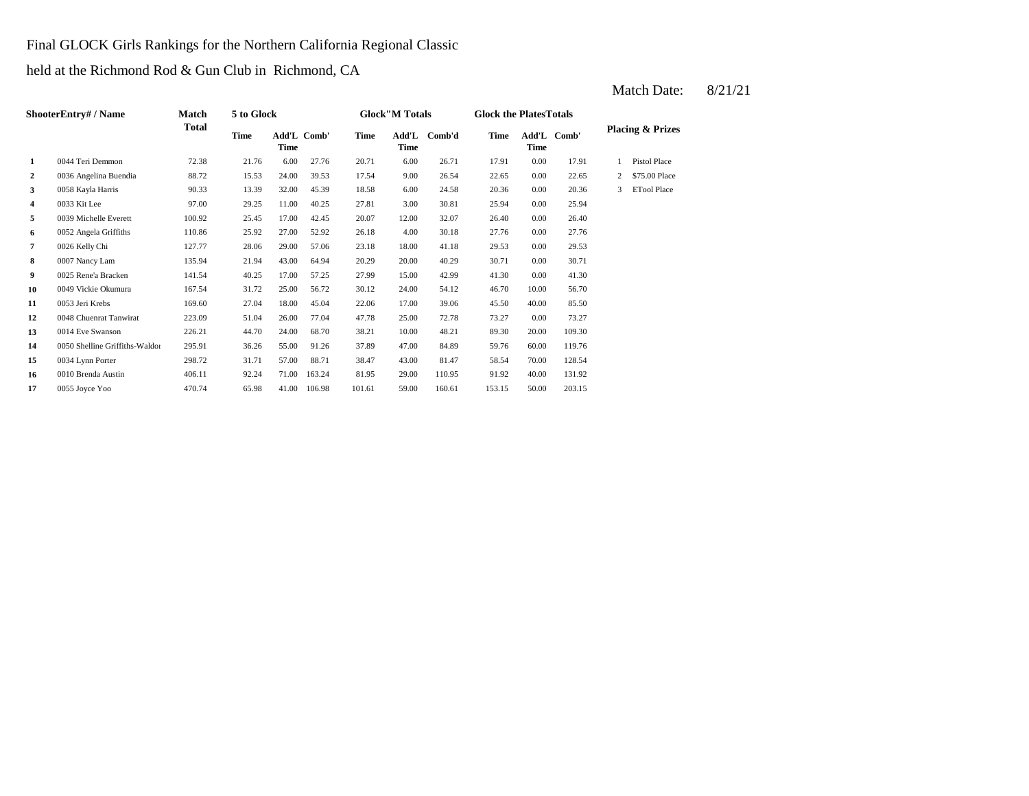#### Final GLOCK Girls Rankings for the Northern California Regional Classic

held at the Richmond Rod & Gun Club in Richmond, CA

|              | <b>ShooterEntry# / Name</b>    | Match        | 5 to Glock |                     |        |        | <b>Glock</b> "M Totals |        | <b>Glock the Plates Totals</b> |       |             |              |                             |
|--------------|--------------------------------|--------------|------------|---------------------|--------|--------|------------------------|--------|--------------------------------|-------|-------------|--------------|-----------------------------|
|              |                                | <b>Total</b> | Time       | Add'L Comb'<br>Time |        | Time   | Add'L<br><b>Time</b>   | Comb'd | <b>Time</b>                    | Time  | Add'L Comb' |              | <b>Placing &amp; Prizes</b> |
| 1            | 0044 Teri Demmon               | 72.38        | 21.76      | 6.00                | 27.76  | 20.71  | 6.00                   | 26.71  | 17.91                          | 0.00  | 17.91       |              | <b>Pistol Place</b>         |
| $\mathbf{2}$ | 0036 Angelina Buendia          | 88.72        | 15.53      | 24.00               | 39.53  | 17.54  | 9.00                   | 26.54  | 22.65                          | 0.00  | 22.65       | $\mathbf{2}$ | \$75,00 Place               |
| 3            | 0058 Kayla Harris              | 90.33        | 13.39      | 32.00               | 45.39  | 18.58  | 6.00                   | 24.58  | 20.36                          | 0.00  | 20.36       | 3            | <b>ETool Place</b>          |
| 4            | 0033 Kit Lee                   | 97.00        | 29.25      | 11.00               | 40.25  | 27.81  | 3.00                   | 30.81  | 25.94                          | 0.00  | 25.94       |              |                             |
| 5            | 0039 Michelle Everett          | 100.92       | 25.45      | 17.00               | 42.45  | 20.07  | 12.00                  | 32.07  | 26.40                          | 0.00  | 26.40       |              |                             |
| 6            | 0052 Angela Griffiths          | 110.86       | 25.92      | 27.00               | 52.92  | 26.18  | 4.00                   | 30.18  | 27.76                          | 0.00  | 27.76       |              |                             |
| 7            | 0026 Kelly Chi                 | 127.77       | 28.06      | 29.00               | 57.06  | 23.18  | 18.00                  | 41.18  | 29.53                          | 0.00  | 29.53       |              |                             |
| 8            | 0007 Nancy Lam                 | 135.94       | 21.94      | 43.00               | 64.94  | 20.29  | 20.00                  | 40.29  | 30.71                          | 0.00  | 30.71       |              |                             |
| 9            | 0025 Rene'a Bracken            | 141.54       | 40.25      | 17.00               | 57.25  | 27.99  | 15.00                  | 42.99  | 41.30                          | 0.00  | 41.30       |              |                             |
| 10           | 0049 Vickie Okumura            | 167.54       | 31.72      | 25.00               | 56.72  | 30.12  | 24.00                  | 54.12  | 46.70                          | 10.00 | 56.70       |              |                             |
| 11           | 0053 Jeri Krebs                | 169.60       | 27.04      | 18.00               | 45.04  | 22.06  | 17.00                  | 39.06  | 45.50                          | 40.00 | 85.50       |              |                             |
| 12           | 0048 Chuenrat Tanwirat         | 223.09       | 51.04      | 26.00               | 77.04  | 47.78  | 25.00                  | 72.78  | 73.27                          | 0.00  | 73.27       |              |                             |
| 13           | 0014 Eve Swanson               | 226.21       | 44.70      | 24.00               | 68.70  | 38.21  | 10.00                  | 48.21  | 89.30                          | 20.00 | 109.30      |              |                             |
| 14           | 0050 Shelline Griffiths-Waldor | 295.91       | 36.26      | 55.00               | 91.26  | 37.89  | 47.00                  | 84.89  | 59.76                          | 60.00 | 119.76      |              |                             |
| 15           | 0034 Lynn Porter               | 298.72       | 31.71      | 57.00               | 88.71  | 38.47  | 43.00                  | 81.47  | 58.54                          | 70.00 | 128.54      |              |                             |
| 16           | 0010 Brenda Austin             | 406.11       | 92.24      | 71.00               | 163.24 | 81.95  | 29.00                  | 110.95 | 91.92                          | 40.00 | 131.92      |              |                             |
| 17           | 0055 Joyce Yoo                 | 470.74       | 65.98      | 41.00               | 106.98 | 101.61 | 59.00                  | 160.61 | 153.15                         | 50.00 | 203.15      |              |                             |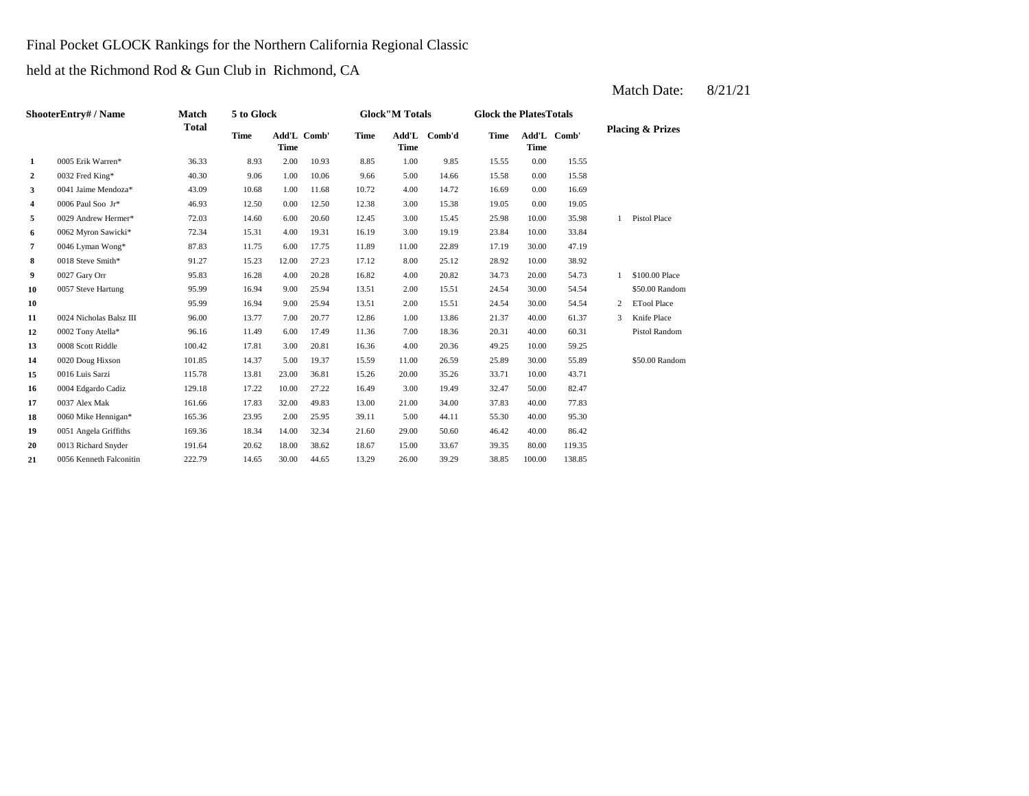#### Final Pocket GLOCK Rankings for the Northern California Regional Classic

held at the Richmond Rod & Gun Club in Richmond, CA

2  $0.032$  Fred King\*  $40.30$   $9.06$   $1.00$   $10.06$   $9.66$   $5.00$   $14.66$   $15.58$ **3** 4.00 14.72 16.69 10.68 1.00 11.68 10.72 4.00 14.72 16.69 **4**  $0.006$  Paul Soo Jr\*  $46.93$  12.50  $0.00$  12.50 12.38 3.00 15.38 19.05 **5**  $0029$  Andrew Hermer\* **72.03** 14.60 6.00 20.60 12.45 3.00 15.45 25.98 10.00 **6** 3.00 19.19 **3.04** 15.31 16.19 16.19 16.19 19.19 23.84 **7** 11.00 **11.00** 17.19 17.19 30.00 **17.75** 11.89 11.00 22.89 17.19 30.00 **8** 0018 Steve Smith\* 91.27 15.23 12.00 27.23 17.12 8.00 25.12 28.92 10.00 38.92 **9**  $\frac{0027 \text{ Gary Orr}}{20.82}$  **95.83**  $\frac{16.28}{20.28}$  **16.82**  $\frac{4.00}{20.82}$  **34.73 10** 0057 Steve Hartung 95.99 16.94 9.00 25.94 13.51 2.00 15.51 24.54 **10** 2.00 **16.94** 2.00 **16.94** 2.00 **16.94** 2.00 **16.51** 2.54 **11** 0024 Nicholas Balsz III 96.00 13.77 7.00 20.77 12.86 1.00 13.86 21.37 **12** 0002 Tony Atella\* 96.16 11.49 6.00 17.49 11.36 7.00 18.36 20.31 **13** 0008 Scott Riddle 100.42 17.81 3.00 20.81 16.36 4.00 20.36 49.25 **14** 0020 Doug Hixson 101.85 14.37 5.00 19.37 15.59 11.00 26.59 25.89 **15** 20.00 33.71 0016 Luis Sarzi 115.78 13.81 23.00 36.81 15.26 35.26 **16** 3.00 32.47 0004 Edgardo Cadiz 129.18 17.22 10.00 27.22 16.49 19.49 50.00 **17** 20037 Alex Mak **161.66 17.83** 32.00 **49.83 13.00 21.00** 34.00 **37.83 18** 0060 Mike Hennigan\* 165.36 23.95 2.00 25.95 39.11 5.00 44.11 55.30 **19** 29.00 46.42 0051 Angela Griffiths 169.36 18.34 14.00 32.34 21.60 50.60 **20** 15.00 39.35 0013 Richard Snyder 191.64 20.62 18.00 38.62 18.67 33.67 80.00 **21** 0056 Kenneth Falconitin 222.79 14.65 30.00 44.65 13.29 26.00 39.29 38.85 100.00 138.85 119.35 40.00 86.42 44.11 55.30 40.00 95.30 82.47 0037 Alex Mak 161.66 17.83 32.00 49.83 13.00 21.00 34.00 37.83 40.00 77.83 10.00 43.71 30.00 55.89 \$50.00 Random 20.36 10.00 59.25 18.36 40.00 60.31 Pistol Random 12.86 1.00 13.86 21.37 40.00 61.37 3 Knife Place 15.51 30.00 54.54 2 ETool Place 13.51 2.00 15.51 24.54 30.00 54.54 \$50.00 Random 95.99 16.94 9.00 25.94 13.51 20.82 34.73 20.00 54.73 1 \$100.00 Place 0027 Gary Orr 55.83 16.28 4.00 20.28 16.82 47.19 10.00 33.84 35.98 1 Pistol Place 0.00 19.05 14.72 16.69 0.00 16.69 15.55 0032 Fred King\* 40.30 9.06 1.00 10.06 9.66 14.66 0.00 15.58 10.93 8.85 1.00 9.85 15.55 0.00 **Add'L Time Comb'd Time Add'L Comb' Placing & Prizes Time Add'L Time 1** 0005 Erik Warren\* 36.33 8.93 2.00 **ShooterEntry# / Name Match Total 5 to Glock Time Glock"M Totals Glock the PlatesTotals Time** Add'L Comb' **Time**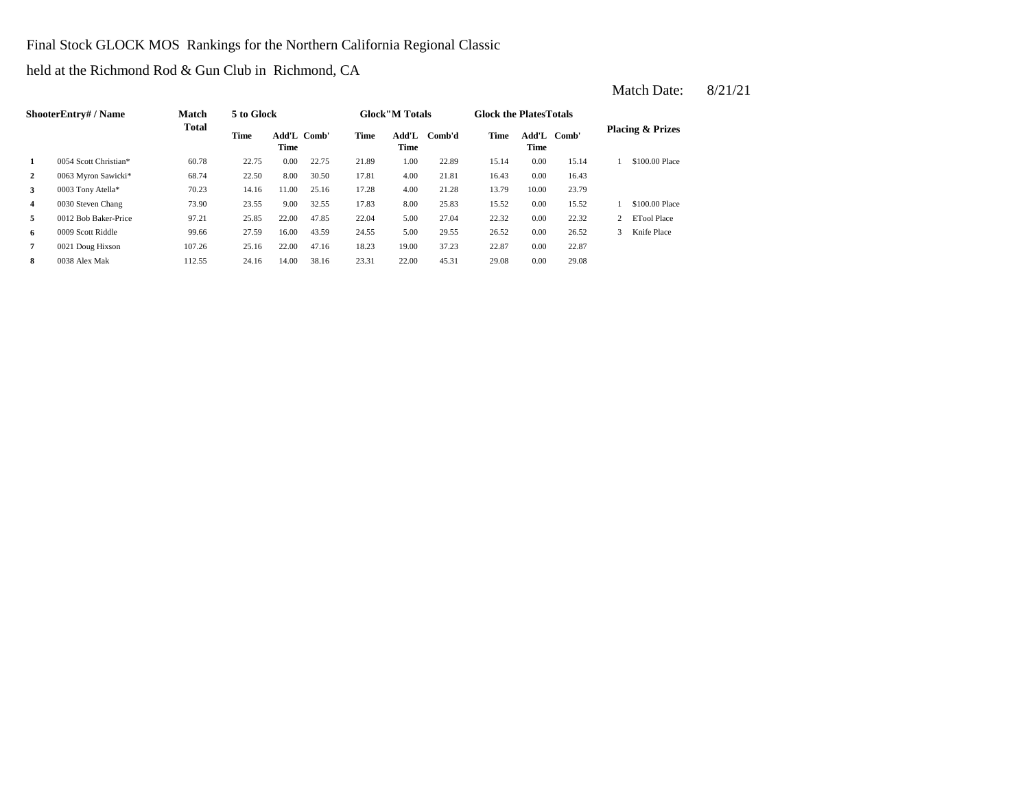Final Stock GLOCK MOS Rankings for the Northern California Regional Classic

held at the Richmond Rod & Gun Club in Richmond, CA

|                | ShooterEntrv# / Name  | <b>Match</b> | 5 to Glock |                     |       |       | <b>Glock</b> "M Totals |        | <b>Glock the PlatesTotals</b> |                            |       |                             |
|----------------|-----------------------|--------------|------------|---------------------|-------|-------|------------------------|--------|-------------------------------|----------------------------|-------|-----------------------------|
|                |                       | <b>Total</b> | Time       | Add'L Comb'<br>Time |       | Time  | Add'L<br>Time          | Comb'd | Time                          | Add'L Comb'<br><b>Time</b> |       | <b>Placing &amp; Prizes</b> |
|                | 0054 Scott Christian* | 60.78        | 22.75      | 0.00                | 22.75 | 21.89 | 1.00                   | 22.89  | 15.14                         | 0.00                       | 15.14 | \$100.00 Place              |
| $\overline{2}$ | 0063 Myron Sawicki*   | 68.74        | 22.50      | 8.00                | 30.50 | 17.81 | 4.00                   | 21.81  | 16.43                         | 0.00                       | 16.43 |                             |
| 3              | 0003 Tony Atella*     | 70.23        | 14.16      | 11.00               | 25.16 | 17.28 | 4.00                   | 21.28  | 13.79                         | 10.00                      | 23.79 |                             |
| $\overline{4}$ | 0030 Steven Chang     | 73.90        | 23.55      | 9.00                | 32.55 | 17.83 | 8.00                   | 25.83  | 15.52                         | 0.00                       | 15.52 | \$100.00 Place              |
| 5              | 0012 Bob Baker-Price  | 97.21        | 25.85      | 22.00               | 47.85 | 22.04 | 5.00                   | 27.04  | 22.32                         | 0.00                       | 22.32 | <b>ETool Place</b>          |
| 6              | 0009 Scott Riddle     | 99.66        | 27.59      | 16.00               | 43.59 | 24.55 | 5.00                   | 29.55  | 26.52                         | 0.00                       | 26.52 | Knife Place                 |
| 7              | 0021 Doug Hixson      | 107.26       | 25.16      | 22.00               | 47.16 | 18.23 | 19.00                  | 37.23  | 22.87                         | 0.00                       | 22.87 |                             |
| 8              | 0038 Alex Mak         | 112.55       | 24.16      | 14.00               | 38.16 | 23.31 | 22.00                  | 45.31  | 29.08                         | 0.00                       | 29.08 |                             |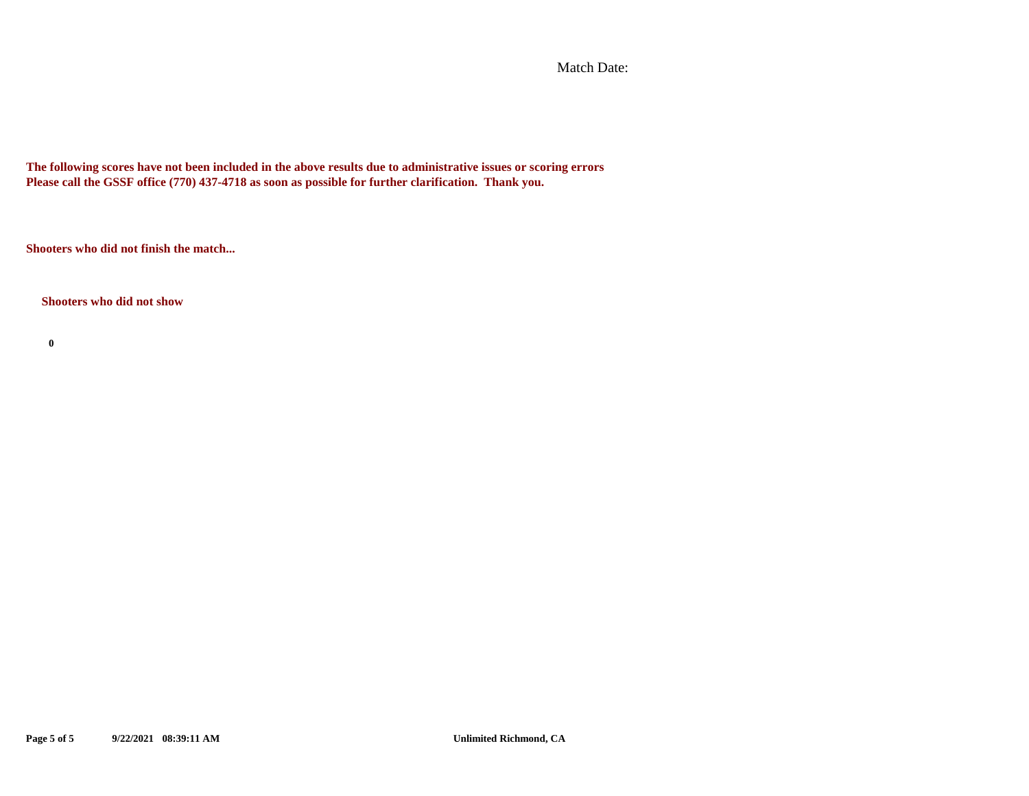Match Date:

**The following scores have not been included in the above results due to administrative issues or scoring errors Please call the GSSF office (770) 437-4718 as soon as possible for further clarification. Thank you.**

**Shooters who did not finish the match...**

#### **Shooters who did not show**

**0**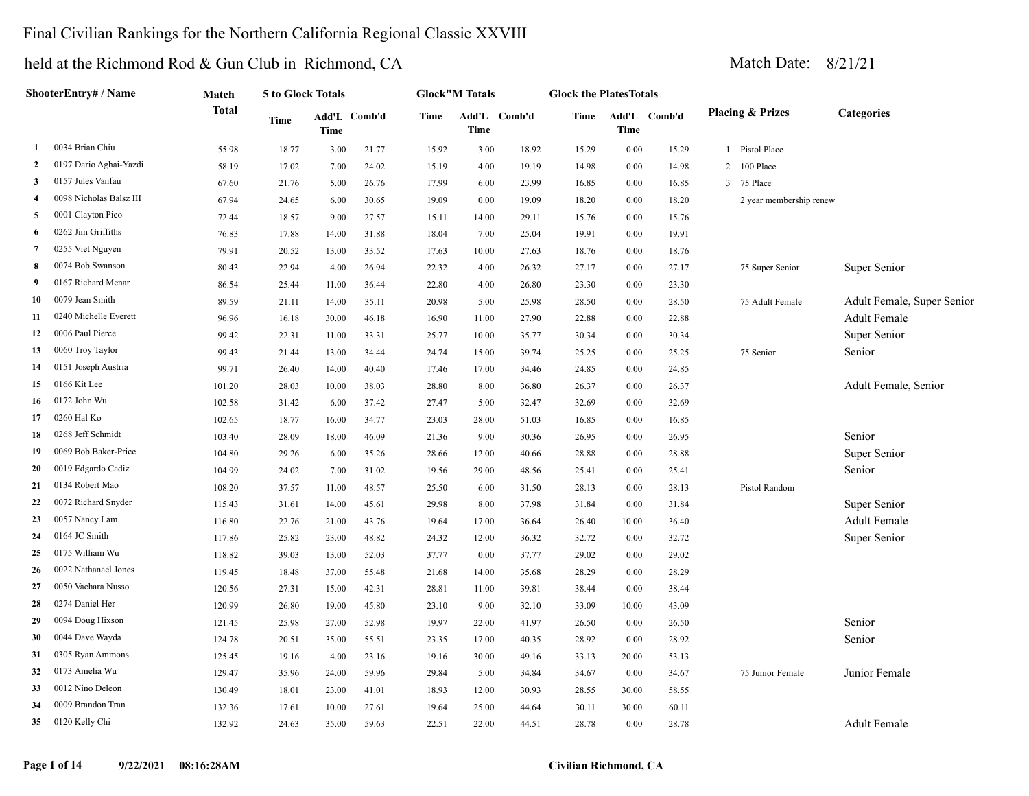### Final Civilian Rankings for the Northern California Regional Classic XXVIII

|                | ShooterEntry# / Name    | Match        | 5 to Glock Totals |             |              |       | <b>Glock"M Totals</b> |              | <b>Glock the PlatesTotals</b> |          |              |   |                             |                            |
|----------------|-------------------------|--------------|-------------------|-------------|--------------|-------|-----------------------|--------------|-------------------------------|----------|--------------|---|-----------------------------|----------------------------|
|                |                         | <b>Total</b> | Time              | <b>Time</b> | Add'L Comb'd | Time  | Time                  | Add'L Comb'd | Time                          | Time     | Add'L Comb'd |   | <b>Placing &amp; Prizes</b> | <b>Categories</b>          |
| 1              | 0034 Brian Chiu         | 55.98        | 18.77             | 3.00        | 21.77        | 15.92 | 3.00                  | 18.92        | 15.29                         | 0.00     | 15.29        |   | 1 Pistol Place              |                            |
| 2              | 0197 Dario Aghai-Yazdi  | 58.19        | 17.02             | 7.00        | 24.02        | 15.19 | 4.00                  | 19.19        | 14.98                         | $0.00\,$ | 14.98        | 2 | 100 Place                   |                            |
| 3              | 0157 Jules Vanfau       | 67.60        | 21.76             | 5.00        | 26.76        | 17.99 | 6.00                  | 23.99        | 16.85                         | 0.00     | 16.85        | 3 | 75 Place                    |                            |
| $\overline{4}$ | 0098 Nicholas Balsz III | 67.94        | 24.65             | 6.00        | 30.65        | 19.09 | 0.00                  | 19.09        | 18.20                         | 0.00     | 18.20        |   | 2 year membership renew     |                            |
| 5              | 0001 Clayton Pico       | 72.44        | 18.57             | 9.00        | 27.57        | 15.11 | 14.00                 | 29.11        | 15.76                         | 0.00     | 15.76        |   |                             |                            |
| 6              | 0262 Jim Griffiths      | 76.83        | 17.88             | 14.00       | 31.88        | 18.04 | 7.00                  | 25.04        | 19.91                         | 0.00     | 19.91        |   |                             |                            |
| 7              | 0255 Viet Nguyen        | 79.91        | 20.52             | 13.00       | 33.52        | 17.63 | 10.00                 | 27.63        | 18.76                         | 0.00     | 18.76        |   |                             |                            |
| 8              | 0074 Bob Swanson        | 80.43        | 22.94             | 4.00        | 26.94        | 22.32 | 4.00                  | 26.32        | 27.17                         | 0.00     | 27.17        |   | 75 Super Senior             | Super Senior               |
| 9              | 0167 Richard Menar      | 86.54        | 25.44             | 11.00       | 36.44        | 22.80 | 4.00                  | 26.80        | 23.30                         | 0.00     | 23.30        |   |                             |                            |
| 10             | 0079 Jean Smith         | 89.59        | 21.11             | 14.00       | 35.11        | 20.98 | 5.00                  | 25.98        | 28.50                         | 0.00     | 28.50        |   | 75 Adult Female             | Adult Female, Super Senior |
| 11             | 0240 Michelle Everett   | 96.96        | 16.18             | 30.00       | 46.18        | 16.90 | 11.00                 | 27.90        | 22.88                         | $0.00\,$ | 22.88        |   |                             | Adult Female               |
| 12             | 0006 Paul Pierce        | 99.42        | 22.31             | 11.00       | 33.31        | 25.77 | 10.00                 | 35.77        | 30.34                         | 0.00     | 30.34        |   |                             | Super Senior               |
| 13             | 0060 Troy Taylor        | 99.43        | 21.44             | 13.00       | 34.44        | 24.74 | 15.00                 | 39.74        | 25.25                         | 0.00     | 25.25        |   | 75 Senior                   | Senior                     |
| 14             | 0151 Joseph Austria     | 99.71        | 26.40             | 14.00       | 40.40        | 17.46 | 17.00                 | 34.46        | 24.85                         | 0.00     | 24.85        |   |                             |                            |
| 15             | 0166 Kit Lee            | 101.20       | 28.03             | 10.00       | 38.03        | 28.80 | 8.00                  | 36.80        | 26.37                         | 0.00     | 26.37        |   |                             | Adult Female, Senior       |
| 16             | 0172 John Wu            | 102.58       | 31.42             | 6.00        | 37.42        | 27.47 | 5.00                  | 32.47        | 32.69                         | 0.00     | 32.69        |   |                             |                            |
| 17             | 0260 Hal Ko             | 102.65       | 18.77             | 16.00       | 34.77        | 23.03 | 28.00                 | 51.03        | 16.85                         | 0.00     | 16.85        |   |                             |                            |
| 18             | 0268 Jeff Schmidt       | 103.40       | 28.09             | 18.00       | 46.09        | 21.36 | 9.00                  | 30.36        | 26.95                         | 0.00     | 26.95        |   |                             | Senior                     |
| 19             | 0069 Bob Baker-Price    | 104.80       | 29.26             | 6.00        | 35.26        | 28.66 | 12.00                 | 40.66        | 28.88                         | 0.00     | 28.88        |   |                             | Super Senior               |
| 20             | 0019 Edgardo Cadiz      | 104.99       | 24.02             | 7.00        | 31.02        | 19.56 | 29.00                 | 48.56        | 25.41                         | 0.00     | 25.41        |   |                             | Senior                     |
| 21             | 0134 Robert Mao         | 108.20       | 37.57             | 11.00       | 48.57        | 25.50 | 6.00                  | 31.50        | 28.13                         | 0.00     | 28.13        |   | Pistol Random               |                            |
| 22             | 0072 Richard Snyder     | 115.43       | 31.61             | 14.00       | 45.61        | 29.98 | 8.00                  | 37.98        | 31.84                         | 0.00     | 31.84        |   |                             | Super Senior               |
| 23             | 0057 Nancy Lam          | 116.80       | 22.76             | 21.00       | 43.76        | 19.64 | 17.00                 | 36.64        | 26.40                         | 10.00    | 36.40        |   |                             | <b>Adult Female</b>        |
| 24             | 0164 JC Smith           | 117.86       | 25.82             | 23.00       | 48.82        | 24.32 | 12.00                 | 36.32        | 32.72                         | $0.00\,$ | 32.72        |   |                             | Super Senior               |
| 25             | 0175 William Wu         | 118.82       | 39.03             | 13.00       | 52.03        | 37.77 | 0.00                  | 37.77        | 29.02                         | 0.00     | 29.02        |   |                             |                            |
| 26             | 0022 Nathanael Jones    | 119.45       | 18.48             | 37.00       | 55.48        | 21.68 | 14.00                 | 35.68        | 28.29                         | 0.00     | 28.29        |   |                             |                            |
| 27             | 0050 Vachara Nusso      | 120.56       | 27.31             | 15.00       | 42.31        | 28.81 | 11.00                 | 39.81        | 38.44                         | 0.00     | 38.44        |   |                             |                            |
| 28             | 0274 Daniel Her         | 120.99       | 26.80             | 19.00       | 45.80        | 23.10 | 9.00                  | 32.10        | 33.09                         | 10.00    | 43.09        |   |                             |                            |
| 29             | 0094 Doug Hixson        | 121.45       | 25.98             | 27.00       | 52.98        | 19.97 | 22.00                 | 41.97        | 26.50                         | $0.00\,$ | 26.50        |   |                             | Senior                     |
| 30             | 0044 Dave Wayda         | 124.78       | 20.51             | 35.00       | 55.51        | 23.35 | 17.00                 | 40.35        | 28.92                         | 0.00     | 28.92        |   |                             | Senior                     |
| 31             | 0305 Ryan Ammons        | 125.45       | 19.16             | 4.00        | 23.16        | 19.16 | 30.00                 | 49.16        | 33.13                         | 20.00    | 53.13        |   |                             |                            |
| 32             | 0173 Amelia Wu          | 129.47       | 35.96             | 24.00       | 59.96        | 29.84 | 5.00                  | 34.84        | 34.67                         | 0.00     | 34.67        |   | 75 Junior Female            | Junior Female              |
| 33             | 0012 Nino Deleon        | 130.49       | 18.01             | 23.00       | 41.01        | 18.93 | 12.00                 | 30.93        | 28.55                         | 30.00    | 58.55        |   |                             |                            |
| 34             | 0009 Brandon Tran       | 132.36       | 17.61             | 10.00       | 27.61        | 19.64 | 25.00                 | 44.64        | 30.11                         | 30.00    | 60.11        |   |                             |                            |
| 35             | 0120 Kelly Chi          | 132.92       | 24.63             | 35.00       | 59.63        | 22.51 | 22.00                 | 44.51        | 28.78                         | 0.00     | 28.78        |   |                             | <b>Adult Female</b>        |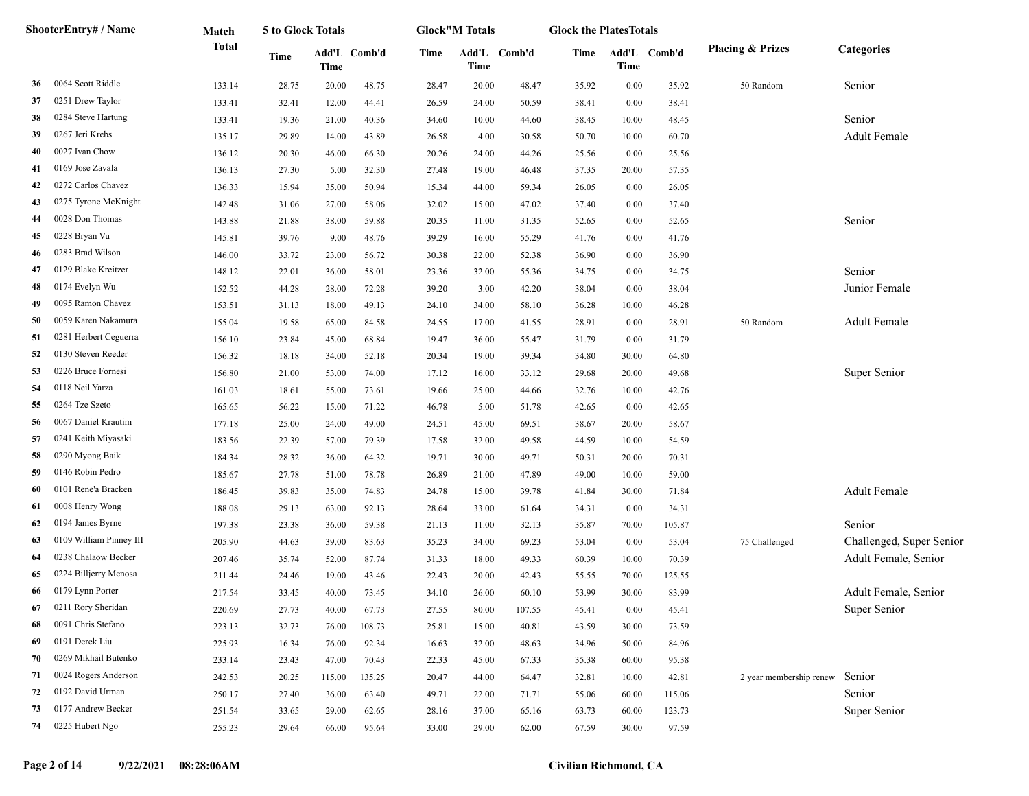|    | ShooterEntry# / Name    | Match        | 5 to Glock Totals |        |              |       | <b>Glock</b> "M Totals |              | <b>Glock the PlatesTotals</b> |       |              |                                |                          |
|----|-------------------------|--------------|-------------------|--------|--------------|-------|------------------------|--------------|-------------------------------|-------|--------------|--------------------------------|--------------------------|
|    |                         | <b>Total</b> | <b>Time</b>       | Time   | Add'L Comb'd | Time  | <b>Time</b>            | Add'L Comb'd | Time                          | Time  | Add'L Comb'd | <b>Placing &amp; Prizes</b>    | Categories               |
| 36 | 0064 Scott Riddle       | 133.14       | 28.75             | 20.00  | 48.75        | 28.47 | 20.00                  | 48.47        | 35.92                         | 0.00  | 35.92        | 50 Random                      | Senior                   |
| 37 | 0251 Drew Taylor        | 133.41       | 32.41             | 12.00  | 44.41        | 26.59 | 24.00                  | 50.59        | 38.41                         | 0.00  | 38.41        |                                |                          |
| 38 | 0284 Steve Hartung      | 133.41       | 19.36             | 21.00  | 40.36        | 34.60 | 10.00                  | 44.60        | 38.45                         | 10.00 | 48.45        |                                | Senior                   |
| 39 | 0267 Jeri Krebs         | 135.17       | 29.89             | 14.00  | 43.89        | 26.58 | 4.00                   | 30.58        | 50.70                         | 10.00 | 60.70        |                                | <b>Adult Female</b>      |
| 40 | 0027 Ivan Chow          | 136.12       | 20.30             | 46.00  | 66.30        | 20.26 | 24.00                  | 44.26        | 25.56                         | 0.00  | 25.56        |                                |                          |
| 41 | 0169 Jose Zavala        | 136.13       | 27.30             | 5.00   | 32.30        | 27.48 | 19.00                  | 46.48        | 37.35                         | 20.00 | 57.35        |                                |                          |
| 42 | 0272 Carlos Chavez      | 136.33       | 15.94             | 35.00  | 50.94        | 15.34 | 44.00                  | 59.34        | 26.05                         | 0.00  | 26.05        |                                |                          |
| 43 | 0275 Tyrone McKnight    | 142.48       | 31.06             | 27.00  | 58.06        | 32.02 | 15.00                  | 47.02        | 37.40                         | 0.00  | 37.40        |                                |                          |
| 44 | 0028 Don Thomas         | 143.88       | 21.88             | 38.00  | 59.88        | 20.35 | 11.00                  | 31.35        | 52.65                         | 0.00  | 52.65        |                                | Senior                   |
| 45 | 0228 Bryan Vu           | 145.81       | 39.76             | 9.00   | 48.76        | 39.29 | 16.00                  | 55.29        | 41.76                         | 0.00  | 41.76        |                                |                          |
| 46 | 0283 Brad Wilson        | 146.00       | 33.72             | 23.00  | 56.72        | 30.38 | 22.00                  | 52.38        | 36.90                         | 0.00  | 36.90        |                                |                          |
| 47 | 0129 Blake Kreitzer     | 148.12       | 22.01             | 36.00  | 58.01        | 23.36 | 32.00                  | 55.36        | 34.75                         | 0.00  | 34.75        |                                | Senior                   |
| 48 | 0174 Evelyn Wu          | 152.52       | 44.28             | 28.00  | 72.28        | 39.20 | 3.00                   | 42.20        | 38.04                         | 0.00  | 38.04        |                                | Junior Female            |
| 49 | 0095 Ramon Chavez       | 153.51       | 31.13             | 18.00  | 49.13        | 24.10 | 34.00                  | 58.10        | 36.28                         | 10.00 | 46.28        |                                |                          |
| 50 | 0059 Karen Nakamura     | 155.04       | 19.58             | 65.00  | 84.58        | 24.55 | 17.00                  | 41.55        | 28.91                         | 0.00  | 28.91        | 50 Random                      | <b>Adult Female</b>      |
| 51 | 0281 Herbert Ceguerra   | 156.10       | 23.84             | 45.00  | 68.84        | 19.47 | 36.00                  | 55.47        | 31.79                         | 0.00  | 31.79        |                                |                          |
| 52 | 0130 Steven Reeder      | 156.32       | 18.18             | 34.00  | 52.18        | 20.34 | 19.00                  | 39.34        | 34.80                         | 30.00 | 64.80        |                                |                          |
| 53 | 0226 Bruce Fornesi      | 156.80       | 21.00             | 53.00  | 74.00        | 17.12 | 16.00                  | 33.12        | 29.68                         | 20.00 | 49.68        |                                | Super Senior             |
| 54 | 0118 Neil Yarza         | 161.03       | 18.61             | 55.00  | 73.61        | 19.66 | 25.00                  | 44.66        | 32.76                         | 10.00 | 42.76        |                                |                          |
| 55 | 0264 Tze Szeto          | 165.65       | 56.22             | 15.00  | 71.22        | 46.78 | 5.00                   | 51.78        | 42.65                         | 0.00  | 42.65        |                                |                          |
| 56 | 0067 Daniel Krautim     | 177.18       | 25.00             | 24.00  | 49.00        | 24.51 | 45.00                  | 69.51        | 38.67                         | 20.00 | 58.67        |                                |                          |
| 57 | 0241 Keith Miyasaki     | 183.56       | 22.39             | 57.00  | 79.39        | 17.58 | 32.00                  | 49.58        | 44.59                         | 10.00 | 54.59        |                                |                          |
| 58 | 0290 Myong Baik         | 184.34       | 28.32             | 36.00  | 64.32        | 19.71 | 30.00                  | 49.71        | 50.31                         | 20.00 | 70.31        |                                |                          |
| 59 | 0146 Robin Pedro        | 185.67       | 27.78             | 51.00  | 78.78        | 26.89 | 21.00                  | 47.89        | 49.00                         | 10.00 | 59.00        |                                |                          |
| 60 | 0101 Rene'a Bracken     | 186.45       | 39.83             | 35.00  | 74.83        | 24.78 | 15.00                  | 39.78        | 41.84                         | 30.00 | 71.84        |                                | <b>Adult Female</b>      |
| 61 | 0008 Henry Wong         | 188.08       | 29.13             | 63.00  | 92.13        | 28.64 | 33.00                  | 61.64        | 34.31                         | 0.00  | 34.31        |                                |                          |
| 62 | 0194 James Byrne        | 197.38       | 23.38             | 36.00  | 59.38        | 21.13 | 11.00                  | 32.13        | 35.87                         | 70.00 | 105.87       |                                | Senior                   |
| 63 | 0109 William Pinney III | 205.90       | 44.63             | 39.00  | 83.63        | 35.23 | 34.00                  | 69.23        | 53.04                         | 0.00  | 53.04        | 75 Challenged                  | Challenged, Super Senior |
| 64 | 0238 Chalaow Becker     | 207.46       | 35.74             | 52.00  | 87.74        | 31.33 | 18.00                  | 49.33        | 60.39                         | 10.00 | 70.39        |                                | Adult Female, Senior     |
| 65 | 0224 Billjerry Menosa   | 211.44       | 24.46             | 19.00  | 43.46        | 22.43 | 20.00                  | 42.43        | 55.55                         | 70.00 | 125.55       |                                |                          |
| 66 | 0179 Lynn Porter        | 217.54       | 33.45             | 40.00  | 73.45        | 34.10 | 26.00                  | 60.10        | 53.99                         | 30.00 | 83.99        |                                | Adult Female, Senior     |
| 67 | 0211 Rory Sheridan      | 220.69       | 27.73             | 40.00  | 67.73        | 27.55 | 80.00                  | 107.55       | 45.41                         | 0.00  | 45.41        |                                | Super Senior             |
| 68 | 0091 Chris Stefano      | 223.13       | 32.73             | 76.00  | 108.73       | 25.81 | 15.00                  | 40.81        | 43.59                         | 30.00 | 73.59        |                                |                          |
| 69 | 0191 Derek Liu          | 225.93       | 16.34             | 76.00  | 92.34        | 16.63 | 32.00                  | 48.63        | 34.96                         | 50.00 | 84.96        |                                |                          |
| 70 | 0269 Mikhail Butenko    | 233.14       | 23.43             | 47.00  | 70.43        | 22.33 | 45.00                  | 67.33        | 35.38                         | 60.00 | 95.38        |                                |                          |
| 71 | 0024 Rogers Anderson    | 242.53       | 20.25             | 115.00 | 135.25       | 20.47 | 44.00                  | 64.47        | 32.81                         | 10.00 | 42.81        | 2 year membership renew Senior |                          |
| 72 | 0192 David Urman        | 250.17       | 27.40             | 36.00  | 63.40        | 49.71 | 22.00                  | 71.71        | 55.06                         | 60.00 | 115.06       |                                | Senior                   |
| 73 | 0177 Andrew Becker      | 251.54       | 33.65             | 29.00  | 62.65        | 28.16 | 37.00                  | 65.16        | 63.73                         | 60.00 | 123.73       |                                | Super Senior             |
| 74 | 0225 Hubert Ngo         | 255.23       | 29.64             | 66.00  | 95.64        | 33.00 | 29.00                  | 62.00        | 67.59                         | 30.00 | 97.59        |                                |                          |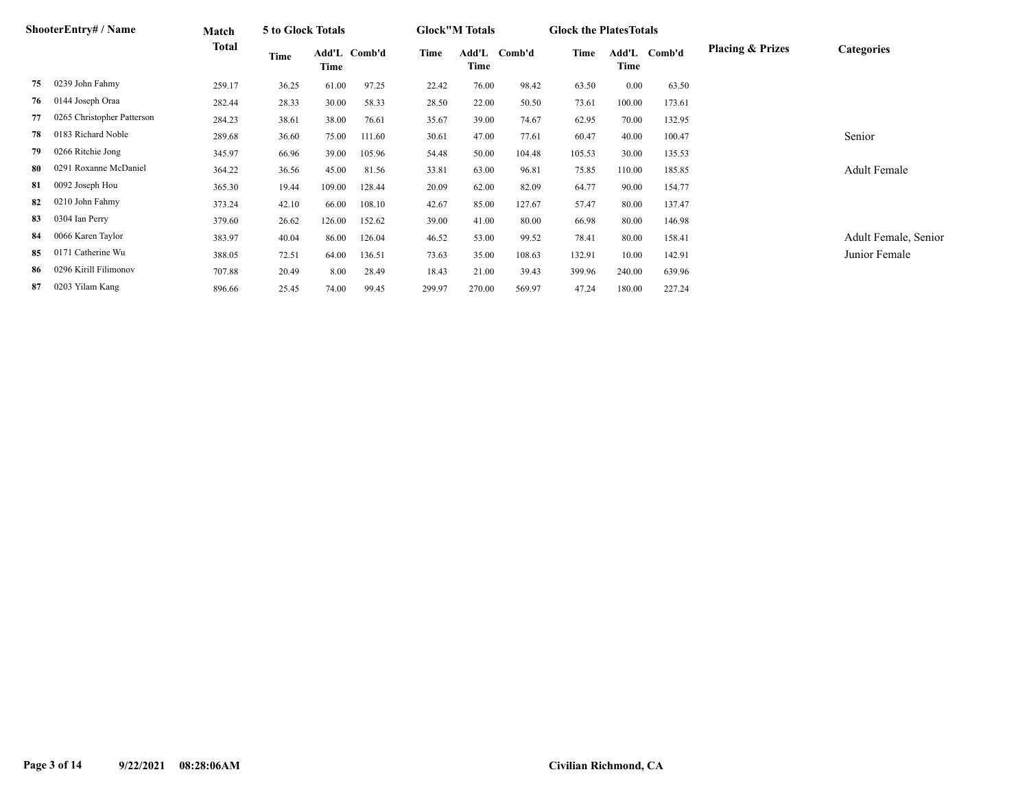|     | ShooterEntry# / Name       | Match  | 5 to Glock Totals |               |        |        | <b>Glock"M Totals</b> |        | <b>Glock the Plates Totals</b> |               |        |                             |                      |
|-----|----------------------------|--------|-------------------|---------------|--------|--------|-----------------------|--------|--------------------------------|---------------|--------|-----------------------------|----------------------|
|     |                            | Total  | Time              | Add'L<br>Time | Comb'd | Time   | Add'L<br>Time         | Comb'd | Time                           | Add'L<br>Time | Comb'd | <b>Placing &amp; Prizes</b> | Categories           |
| 75  | 0239 John Fahmy            | 259.17 | 36.25             | 61.00         | 97.25  | 22.42  | 76.00                 | 98.42  | 63.50                          | 0.00          | 63.50  |                             |                      |
| 76  | 0144 Joseph Oraa           | 282.44 | 28.33             | 30.00         | 58.33  | 28.50  | 22.00                 | 50.50  | 73.61                          | 100.00        | 173.61 |                             |                      |
| 77  | 0265 Christopher Patterson | 284.23 | 38.61             | 38.00         | 76.61  | 35.67  | 39.00                 | 74.67  | 62.95                          | 70.00         | 132.95 |                             |                      |
| 78  | 0183 Richard Noble         | 289.68 | 36.60             | 75.00         | 111.60 | 30.61  | 47.00                 | 77.61  | 60.47                          | 40.00         | 100.47 |                             | Senior               |
| 79  | 0266 Ritchie Jong          | 345.97 | 66.96             | 39.00         | 105.96 | 54.48  | 50.00                 | 104.48 | 105.53                         | 30.00         | 135.53 |                             |                      |
| -80 | 0291 Roxanne McDaniel      | 364.22 | 36.56             | 45.00         | 81.56  | 33.81  | 63.00                 | 96.81  | 75.85                          | 110.00        | 185.85 |                             | Adult Female         |
| 81  | 0092 Joseph Hou            | 365.30 | 19.44             | 109.00        | 128.44 | 20.09  | 62.00                 | 82.09  | 64.77                          | 90.00         | 154.77 |                             |                      |
| 82  | 0210 John Fahmy            | 373.24 | 42.10             | 66.00         | 108.10 | 42.67  | 85.00                 | 127.67 | 57.47                          | 80.00         | 137.47 |                             |                      |
| 83  | 0304 Ian Perry             | 379.60 | 26.62             | 126.00        | 152.62 | 39.00  | 41.00                 | 80.00  | 66.98                          | 80.00         | 146.98 |                             |                      |
| 84  | 0066 Karen Taylor          | 383.97 | 40.04             | 86.00         | 126.04 | 46.52  | 53.00                 | 99.52  | 78.41                          | 80.00         | 158.41 |                             | Adult Female, Senior |
| 85  | 0171 Catherine Wu          | 388.05 | 72.51             | 64.00         | 136.51 | 73.63  | 35.00                 | 108.63 | 132.91                         | 10.00         | 142.91 |                             | Junior Female        |
| 86  | 0296 Kirill Filimonov      | 707.88 | 20.49             | 8.00          | 28.49  | 18.43  | 21.00                 | 39.43  | 399.96                         | 240.00        | 639.96 |                             |                      |
| 87  | 0203 Yilam Kang            | 896.66 | 25.45             | 74.00         | 99.45  | 299.97 | 270.00                | 569.97 | 47.24                          | 180.00        | 227.24 |                             |                      |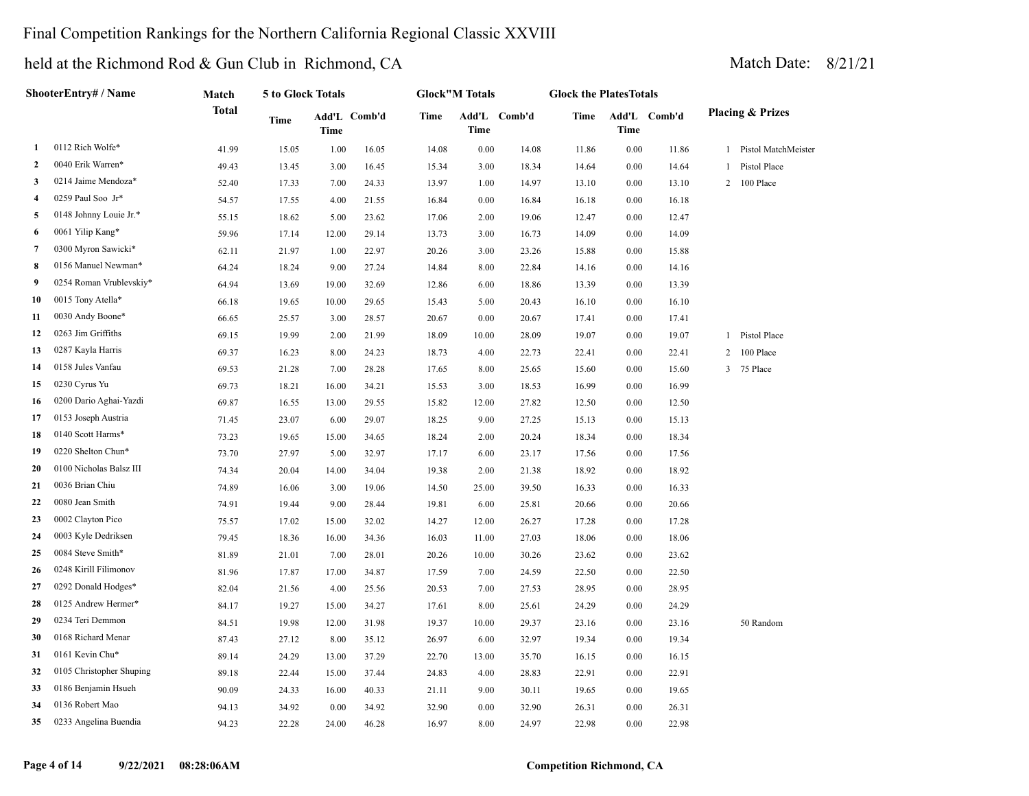### Final Competition Rankings for the Northern California Regional Classic XXVIII

|                | ShooterEntry# / Name     | Match        | 5 to Glock Totals |       |              |             | <b>Glock"M Totals</b> |              | <b>Glock the PlatesTotals</b> |             |              |              |                             |
|----------------|--------------------------|--------------|-------------------|-------|--------------|-------------|-----------------------|--------------|-------------------------------|-------------|--------------|--------------|-----------------------------|
|                |                          | <b>Total</b> | Time              | Time  | Add'L Comb'd | <b>Time</b> | Time                  | Add'L Comb'd | <b>Time</b>                   | <b>Time</b> | Add'L Comb'd |              | <b>Placing &amp; Prizes</b> |
| 1              | 0112 Rich Wolfe*         | 41.99        | 15.05             | 1.00  | 16.05        | 14.08       | $0.00\,$              | 14.08        | 11.86                         | 0.00        | 11.86        | $\mathbf{1}$ | Pistol MatchMeister         |
| 2              | 0040 Erik Warren*        | 49.43        | 13.45             | 3.00  | 16.45        | 15.34       | 3.00                  | 18.34        | 14.64                         | 0.00        | 14.64        | 1            | Pistol Place                |
| 3              | 0214 Jaime Mendoza*      | 52.40        | 17.33             | 7.00  | 24.33        | 13.97       | 1.00                  | 14.97        | 13.10                         | 0.00        | 13.10        |              | 2 100 Place                 |
| 4              | 0259 Paul Soo Jr*        | 54.57        | 17.55             | 4.00  | 21.55        | 16.84       | 0.00                  | 16.84        | 16.18                         | 0.00        | 16.18        |              |                             |
| 5              | 0148 Johnny Louie Jr.*   | 55.15        | 18.62             | 5.00  | 23.62        | 17.06       | 2.00                  | 19.06        | 12.47                         | 0.00        | 12.47        |              |                             |
| 6              | 0061 Yilip Kang*         | 59.96        | 17.14             | 12.00 | 29.14        | 13.73       | 3.00                  | 16.73        | 14.09                         | 0.00        | 14.09        |              |                             |
| $\overline{7}$ | 0300 Myron Sawicki*      | 62.11        | 21.97             | 1.00  | 22.97        | 20.26       | 3.00                  | 23.26        | 15.88                         | 0.00        | 15.88        |              |                             |
| 8              | 0156 Manuel Newman*      | 64.24        | 18.24             | 9.00  | 27.24        | 14.84       | 8.00                  | 22.84        | 14.16                         | 0.00        | 14.16        |              |                             |
| 9              | 0254 Roman Vrublevskiy*  | 64.94        | 13.69             | 19.00 | 32.69        | 12.86       | 6.00                  | 18.86        | 13.39                         | 0.00        | 13.39        |              |                             |
| 10             | 0015 Tony Atella*        | 66.18        | 19.65             | 10.00 | 29.65        | 15.43       | 5.00                  | 20.43        | 16.10                         | 0.00        | 16.10        |              |                             |
| 11             | 0030 Andy Boone*         | 66.65        | 25.57             | 3.00  | 28.57        | 20.67       | 0.00                  | 20.67        | 17.41                         | 0.00        | 17.41        |              |                             |
| 12             | 0263 Jim Griffiths       | 69.15        | 19.99             | 2.00  | 21.99        | 18.09       | 10.00                 | 28.09        | 19.07                         | 0.00        | 19.07        | $\mathbf{1}$ | Pistol Place                |
| 13             | 0287 Kayla Harris        | 69.37        | 16.23             | 8.00  | 24.23        | 18.73       | 4.00                  | 22.73        | 22.41                         | 0.00        | 22.41        | 2            | 100 Place                   |
| 14             | 0158 Jules Vanfau        | 69.53        | 21.28             | 7.00  | 28.28        | 17.65       | 8.00                  | 25.65        | 15.60                         | 0.00        | 15.60        | 3            | 75 Place                    |
| 15             | 0230 Cyrus Yu            | 69.73        | 18.21             | 16.00 | 34.21        | 15.53       | 3.00                  | 18.53        | 16.99                         | 0.00        | 16.99        |              |                             |
| 16             | 0200 Dario Aghai-Yazdi   | 69.87        | 16.55             | 13.00 | 29.55        | 15.82       | 12.00                 | 27.82        | 12.50                         | 0.00        | 12.50        |              |                             |
| 17             | 0153 Joseph Austria      | 71.45        | 23.07             | 6.00  | 29.07        | 18.25       | 9.00                  | 27.25        | 15.13                         | 0.00        | 15.13        |              |                             |
| 18             | 0140 Scott Harms*        | 73.23        | 19.65             | 15.00 | 34.65        | 18.24       | 2.00                  | 20.24        | 18.34                         | 0.00        | 18.34        |              |                             |
| 19             | 0220 Shelton Chun*       | 73.70        | 27.97             | 5.00  | 32.97        | 17.17       | 6.00                  | 23.17        | 17.56                         | 0.00        | 17.56        |              |                             |
| 20             | 0100 Nicholas Balsz III  | 74.34        | 20.04             | 14.00 | 34.04        | 19.38       | 2.00                  | 21.38        | 18.92                         | 0.00        | 18.92        |              |                             |
| 21             | 0036 Brian Chiu          | 74.89        | 16.06             | 3.00  | 19.06        | 14.50       | 25.00                 | 39.50        | 16.33                         | 0.00        | 16.33        |              |                             |
| 22             | 0080 Jean Smith          | 74.91        | 19.44             | 9.00  | 28.44        | 19.81       | 6.00                  | 25.81        | 20.66                         | 0.00        | 20.66        |              |                             |
| 23             | 0002 Clayton Pico        | 75.57        | 17.02             | 15.00 | 32.02        | 14.27       | 12.00                 | 26.27        | 17.28                         | 0.00        | 17.28        |              |                             |
| 24             | 0003 Kyle Dedriksen      | 79.45        | 18.36             | 16.00 | 34.36        | 16.03       | 11.00                 | 27.03        | 18.06                         | 0.00        | 18.06        |              |                             |
| 25             | 0084 Steve Smith*        | 81.89        | 21.01             | 7.00  | 28.01        | 20.26       | 10.00                 | 30.26        | 23.62                         | 0.00        | 23.62        |              |                             |
| 26             | 0248 Kirill Filimonov    | 81.96        | 17.87             | 17.00 | 34.87        | 17.59       | 7.00                  | 24.59        | 22.50                         | 0.00        | 22.50        |              |                             |
| 27             | 0292 Donald Hodges*      | 82.04        | 21.56             | 4.00  | 25.56        | 20.53       | 7.00                  | 27.53        | 28.95                         | 0.00        | 28.95        |              |                             |
| 28             | 0125 Andrew Hermer*      | 84.17        | 19.27             | 15.00 | 34.27        | 17.61       | 8.00                  | 25.61        | 24.29                         | 0.00        | 24.29        |              |                             |
| 29             | 0234 Teri Demmon         | 84.51        | 19.98             | 12.00 | 31.98        | 19.37       | 10.00                 | 29.37        | 23.16                         | 0.00        | 23.16        |              | 50 Random                   |
| 30             | 0168 Richard Menar       | 87.43        | 27.12             | 8.00  | 35.12        | 26.97       | 6.00                  | 32.97        | 19.34                         | 0.00        | 19.34        |              |                             |
| 31             | 0161 Kevin Chu*          | 89.14        | 24.29             | 13.00 | 37.29        | 22.70       | 13.00                 | 35.70        | 16.15                         | 0.00        | 16.15        |              |                             |
| 32             | 0105 Christopher Shuping | 89.18        | 22.44             | 15.00 | 37.44        | 24.83       | 4.00                  | 28.83        | 22.91                         | 0.00        | 22.91        |              |                             |
| 33             | 0186 Benjamin Hsueh      | 90.09        | 24.33             | 16.00 | 40.33        | 21.11       | 9.00                  | 30.11        | 19.65                         | 0.00        | 19.65        |              |                             |
| 34             | 0136 Robert Mao          | 94.13        | 34.92             | 0.00  | 34.92        | 32.90       | 0.00                  | 32.90        | 26.31                         | 0.00        | 26.31        |              |                             |
| 35             | 0233 Angelina Buendia    | 94.23        | 22.28             | 24.00 | 46.28        | 16.97       | 8.00                  | 24.97        | 22.98                         | 0.00        | 22.98        |              |                             |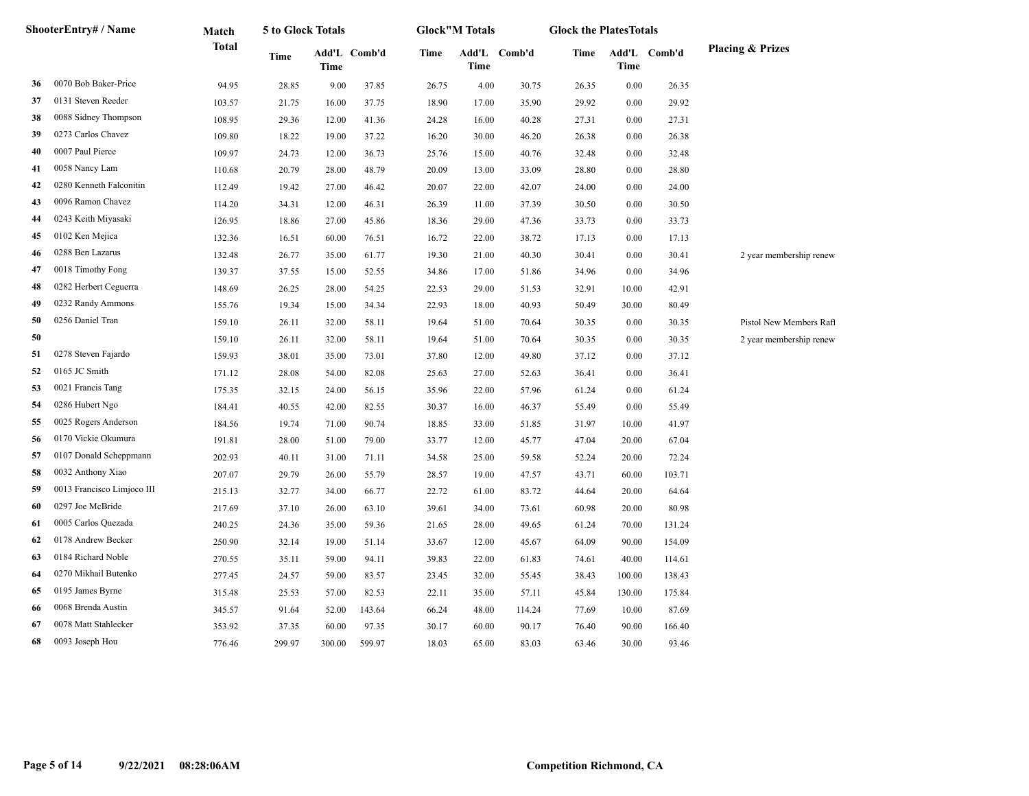|    | ShooterEntry# / Name       | Match        | 5 to Glock Totals |        |              |       | <b>Glock</b> "M Totals |              | <b>Glock the PlatesTotals</b> |        |              |                             |
|----|----------------------------|--------------|-------------------|--------|--------------|-------|------------------------|--------------|-------------------------------|--------|--------------|-----------------------------|
|    |                            | <b>Total</b> | Time              | Time   | Add'L Comb'd | Time  | <b>Time</b>            | Add'L Comb'd | Time                          | Time   | Add'L Comb'd | <b>Placing &amp; Prizes</b> |
| 36 | 0070 Bob Baker-Price       | 94.95        | 28.85             | 9.00   | 37.85        | 26.75 | 4.00                   | 30.75        | 26.35                         | 0.00   | 26.35        |                             |
| 37 | 0131 Steven Reeder         | 103.57       | 21.75             | 16.00  | 37.75        | 18.90 | 17.00                  | 35.90        | 29.92                         | 0.00   | 29.92        |                             |
| 38 | 0088 Sidney Thompson       | 108.95       | 29.36             | 12.00  | 41.36        | 24.28 | 16.00                  | 40.28        | 27.31                         | 0.00   | 27.31        |                             |
| 39 | 0273 Carlos Chavez         | 109.80       | 18.22             | 19.00  | 37.22        | 16.20 | 30.00                  | 46.20        | 26.38                         | 0.00   | 26.38        |                             |
| 40 | 0007 Paul Pierce           | 109.97       | 24.73             | 12.00  | 36.73        | 25.76 | 15.00                  | 40.76        | 32.48                         | 0.00   | 32.48        |                             |
| 41 | 0058 Nancy Lam             | 110.68       | 20.79             | 28.00  | 48.79        | 20.09 | 13.00                  | 33.09        | 28.80                         | 0.00   | 28.80        |                             |
| 42 | 0280 Kenneth Falconitin    | 112.49       | 19.42             | 27.00  | 46.42        | 20.07 | 22.00                  | 42.07        | 24.00                         | 0.00   | 24.00        |                             |
| 43 | 0096 Ramon Chavez          | 114.20       | 34.31             | 12.00  | 46.31        | 26.39 | 11.00                  | 37.39        | 30.50                         | 0.00   | 30.50        |                             |
| 44 | 0243 Keith Miyasaki        | 126.95       | 18.86             | 27.00  | 45.86        | 18.36 | 29.00                  | 47.36        | 33.73                         | 0.00   | 33.73        |                             |
| 45 | 0102 Ken Mejica            | 132.36       | 16.51             | 60.00  | 76.51        | 16.72 | 22.00                  | 38.72        | 17.13                         | 0.00   | 17.13        |                             |
| 46 | 0288 Ben Lazarus           | 132.48       | 26.77             | 35.00  | 61.77        | 19.30 | 21.00                  | 40.30        | 30.41                         | 0.00   | 30.41        | 2 year membership renew     |
| 47 | 0018 Timothy Fong          | 139.37       | 37.55             | 15.00  | 52.55        | 34.86 | 17.00                  | 51.86        | 34.96                         | 0.00   | 34.96        |                             |
| 48 | 0282 Herbert Ceguerra      | 148.69       | 26.25             | 28.00  | 54.25        | 22.53 | 29.00                  | 51.53        | 32.91                         | 10.00  | 42.91        |                             |
| 49 | 0232 Randy Ammons          | 155.76       | 19.34             | 15.00  | 34.34        | 22.93 | 18.00                  | 40.93        | 50.49                         | 30.00  | 80.49        |                             |
| 50 | 0256 Daniel Tran           | 159.10       | 26.11             | 32.00  | 58.11        | 19.64 | 51.00                  | 70.64        | 30.35                         | 0.00   | 30.35        | Pistol New Members Raft     |
| 50 |                            | 159.10       | 26.11             | 32.00  | 58.11        | 19.64 | 51.00                  | 70.64        | 30.35                         | 0.00   | 30.35        | 2 year membership renew     |
| 51 | 0278 Steven Fajardo        | 159.93       | 38.01             | 35.00  | 73.01        | 37.80 | 12.00                  | 49.80        | 37.12                         | 0.00   | 37.12        |                             |
| 52 | 0165 JC Smith              | 171.12       | 28.08             | 54.00  | 82.08        | 25.63 | 27.00                  | 52.63        | 36.41                         | 0.00   | 36.41        |                             |
| 53 | 0021 Francis Tang          | 175.35       | 32.15             | 24.00  | 56.15        | 35.96 | 22.00                  | 57.96        | 61.24                         | 0.00   | 61.24        |                             |
| 54 | 0286 Hubert Ngo            | 184.41       | 40.55             | 42.00  | 82.55        | 30.37 | 16.00                  | 46.37        | 55.49                         | 0.00   | 55.49        |                             |
| 55 | 0025 Rogers Anderson       | 184.56       | 19.74             | 71.00  | 90.74        | 18.85 | 33.00                  | 51.85        | 31.97                         | 10.00  | 41.97        |                             |
| 56 | 0170 Vickie Okumura        | 191.81       | 28.00             | 51.00  | 79.00        | 33.77 | 12.00                  | 45.77        | 47.04                         | 20.00  | 67.04        |                             |
| 57 | 0107 Donald Scheppmann     | 202.93       | 40.11             | 31.00  | 71.11        | 34.58 | 25.00                  | 59.58        | 52.24                         | 20.00  | 72.24        |                             |
| 58 | 0032 Anthony Xiao          | 207.07       | 29.79             | 26.00  | 55.79        | 28.57 | 19.00                  | 47.57        | 43.71                         | 60.00  | 103.71       |                             |
| 59 | 0013 Francisco Limjoco III | 215.13       | 32.77             | 34.00  | 66.77        | 22.72 | 61.00                  | 83.72        | 44.64                         | 20.00  | 64.64        |                             |
| 60 | 0297 Joe McBride           | 217.69       | 37.10             | 26.00  | 63.10        | 39.61 | 34.00                  | 73.61        | 60.98                         | 20.00  | 80.98        |                             |
| 61 | 0005 Carlos Quezada        | 240.25       | 24.36             | 35.00  | 59.36        | 21.65 | 28.00                  | 49.65        | 61.24                         | 70.00  | 131.24       |                             |
| 62 | 0178 Andrew Becker         | 250.90       | 32.14             | 19.00  | 51.14        | 33.67 | 12.00                  | 45.67        | 64.09                         | 90.00  | 154.09       |                             |
| 63 | 0184 Richard Noble         | 270.55       | 35.11             | 59.00  | 94.11        | 39.83 | 22.00                  | 61.83        | 74.61                         | 40.00  | 114.61       |                             |
| 64 | 0270 Mikhail Butenko       | 277.45       | 24.57             | 59.00  | 83.57        | 23.45 | 32.00                  | 55.45        | 38.43                         | 100.00 | 138.43       |                             |
| 65 | 0195 James Byrne           | 315.48       | 25.53             | 57.00  | 82.53        | 22.11 | 35.00                  | 57.11        | 45.84                         | 130.00 | 175.84       |                             |
| 66 | 0068 Brenda Austin         | 345.57       | 91.64             | 52.00  | 143.64       | 66.24 | 48.00                  | 114.24       | 77.69                         | 10.00  | 87.69        |                             |
| 67 | 0078 Matt Stahlecker       | 353.92       | 37.35             | 60.00  | 97.35        | 30.17 | 60.00                  | 90.17        | 76.40                         | 90.00  | 166.40       |                             |
| 68 | 0093 Joseph Hou            | 776.46       | 299.97            | 300.00 | 599.97       | 18.03 | 65.00                  | 83.03        | 63.46                         | 30.00  | 93.46        |                             |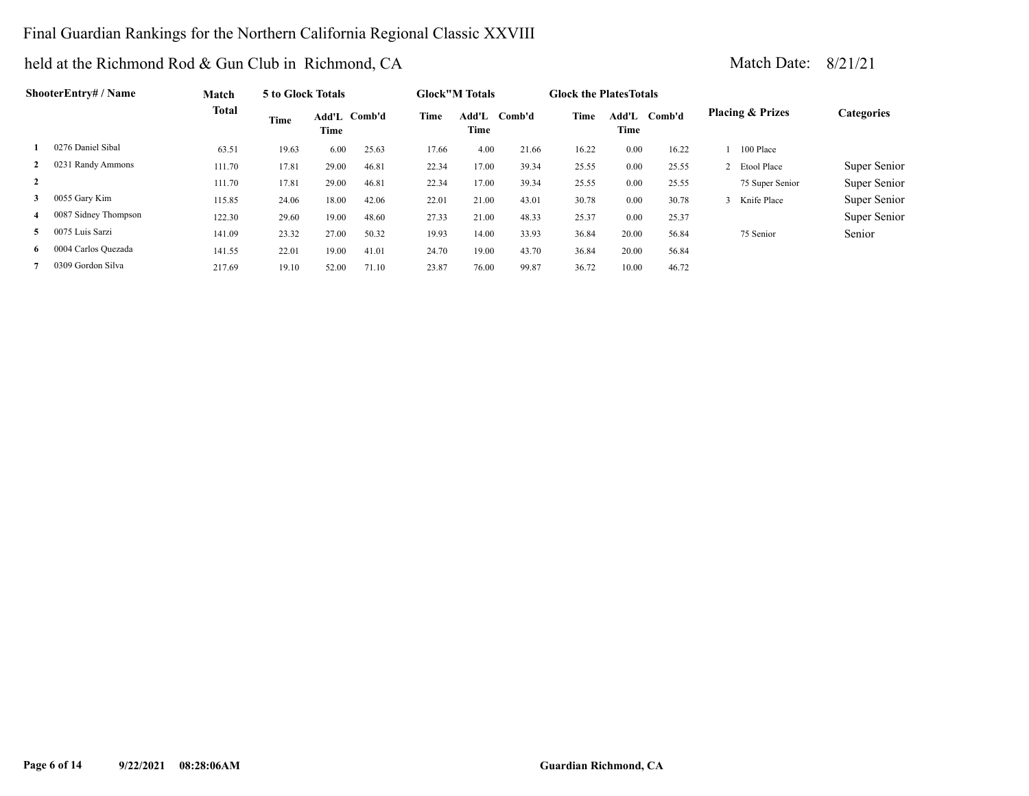### Final Guardian Rankings for the Northern California Regional Classic XXVIII

|                | ShooterEntry# / Name | Match  | 5 to Glock Totals |               |        |       | <b>Glock</b> "M Totals |        | <b>Glock the Plates Totals</b> |               |        |                             |              |
|----------------|----------------------|--------|-------------------|---------------|--------|-------|------------------------|--------|--------------------------------|---------------|--------|-----------------------------|--------------|
|                |                      | Total  | Time              | Add'L<br>Time | Comb'd | Time  | Add'L<br>Time          | Comb'd | Time                           | Add'L<br>Time | Comb'd | <b>Placing &amp; Prizes</b> | Categories   |
|                | 0276 Daniel Sibal    | 63.51  | 19.63             | 6.00          | 25.63  | 17.66 | 4.00                   | 21.66  | 16.22                          | 0.00          | 16.22  | 100 Place                   |              |
| $\mathbf{2}$   | 0231 Randy Ammons    | 111.70 | 17.81             | 29.00         | 46.81  | 22.34 | 17.00                  | 39.34  | 25.55                          | 0.00          | 25.55  | 2 Etool Place               | Super Senior |
| 2              |                      | 111.70 | 17.81             | 29.00         | 46.81  | 22.34 | 17.00                  | 39.34  | 25.55                          | 0.00          | 25.55  | 75 Super Senior             | Super Senior |
| 3              | 0055 Gary Kim        | 115.85 | 24.06             | 18.00         | 42.06  | 22.01 | 21.00                  | 43.01  | 30.78                          | 0.00          | 30.78  | Knife Place                 | Super Senior |
| 4              | 0087 Sidney Thompson | 122.30 | 29.60             | 19.00         | 48.60  | 27.33 | 21.00                  | 48.33  | 25.37                          | 0.00          | 25.37  |                             | Super Senior |
| 5 <sup>1</sup> | 0075 Luis Sarzi      | 141.09 | 23.32             | 27.00         | 50.32  | 19.93 | 14.00                  | 33.93  | 36.84                          | 20.00         | 56.84  | 75 Senior                   | Senior       |
| 6              | 0004 Carlos Quezada  | 141.55 | 22.01             | 19.00         | 41.01  | 24.70 | 19.00                  | 43.70  | 36.84                          | 20.00         | 56.84  |                             |              |
|                | 0309 Gordon Silva    | 217.69 | 19.10             | 52.00         | 71.10  | 23.87 | 76.00                  | 99.87  | 36.72                          | 10.00         | 46.72  |                             |              |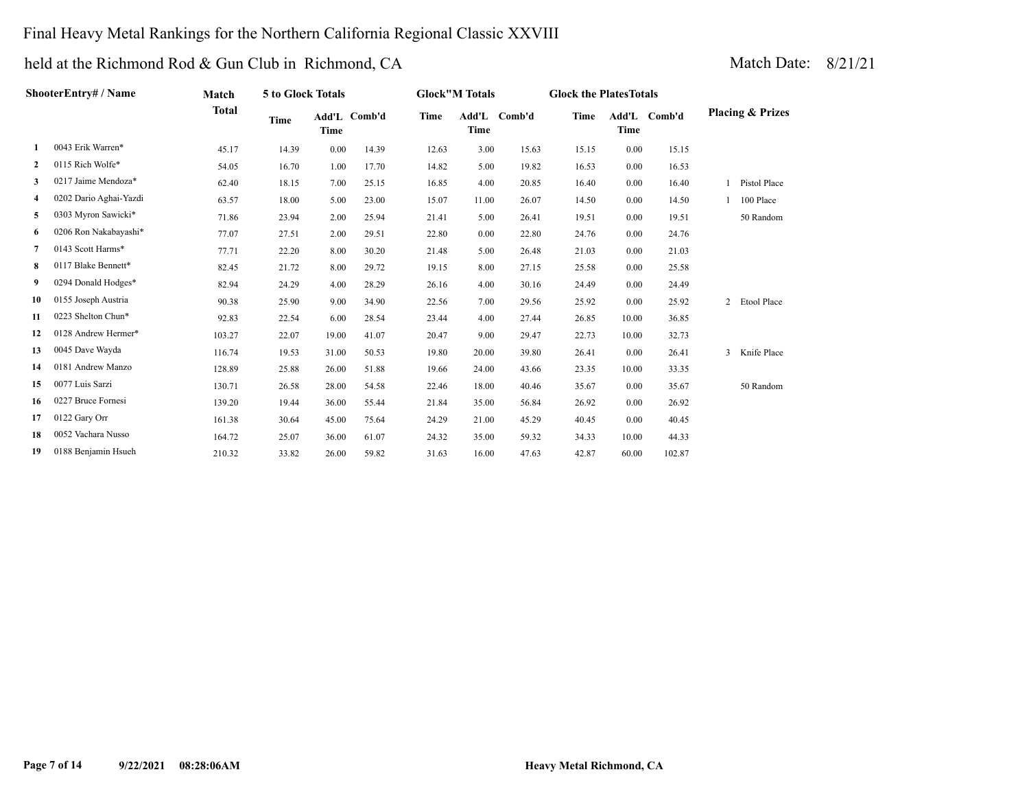### Final Heavy Metal Rankings for the Northern California Regional Classic XXVIII

|              | ShooterEntry# / Name   | Match        | 5 to Glock Totals |       |              |       | <b>Glock"M Totals</b> |              | <b>Glock the PlatesTotals</b> |             |              |                             |  |
|--------------|------------------------|--------------|-------------------|-------|--------------|-------|-----------------------|--------------|-------------------------------|-------------|--------------|-----------------------------|--|
|              |                        | <b>Total</b> | Time              | Time  | Add'L Comb'd | Time  | <b>Time</b>           | Add'L Comb'd | <b>Time</b>                   | <b>Time</b> | Add'L Comb'd | <b>Placing &amp; Prizes</b> |  |
| 1            | 0043 Erik Warren*      | 45.17        | 14.39             | 0.00  | 14.39        | 12.63 | 3.00                  | 15.63        | 15.15                         | 0.00        | 15.15        |                             |  |
| $\mathbf{2}$ | 0115 Rich Wolfe*       | 54.05        | 16.70             | 1.00  | 17.70        | 14.82 | 5.00                  | 19.82        | 16.53                         | 0.00        | 16.53        |                             |  |
| 3            | 0217 Jaime Mendoza*    | 62.40        | 18.15             | 7.00  | 25.15        | 16.85 | 4.00                  | 20.85        | 16.40                         | 0.00        | 16.40        | 1 Pistol Place              |  |
| 4            | 0202 Dario Aghai-Yazdi | 63.57        | 18.00             | 5.00  | 23.00        | 15.07 | 11.00                 | 26.07        | 14.50                         | 0.00        | 14.50        | 100 Place                   |  |
| 5            | 0303 Myron Sawicki*    | 71.86        | 23.94             | 2.00  | 25.94        | 21.41 | 5.00                  | 26.41        | 19.51                         | 0.00        | 19.51        | 50 Random                   |  |
| 6            | 0206 Ron Nakabayashi*  | 77.07        | 27.51             | 2.00  | 29.51        | 22.80 | 0.00                  | 22.80        | 24.76                         | 0.00        | 24.76        |                             |  |
| 7            | 0143 Scott Harms*      | 77.71        | 22.20             | 8.00  | 30.20        | 21.48 | 5.00                  | 26.48        | 21.03                         | 0.00        | 21.03        |                             |  |
| 8            | 0117 Blake Bennett*    | 82.45        | 21.72             | 8.00  | 29.72        | 19.15 | 8.00                  | 27.15        | 25.58                         | 0.00        | 25.58        |                             |  |
| 9.           | 0294 Donald Hodges*    | 82.94        | 24.29             | 4.00  | 28.29        | 26.16 | 4.00                  | 30.16        | 24.49                         | 0.00        | 24.49        |                             |  |
| 10           | 0155 Joseph Austria    | 90.38        | 25.90             | 9.00  | 34.90        | 22.56 | 7.00                  | 29.56        | 25.92                         | 0.00        | 25.92        | 2 Etool Place               |  |
| 11           | 0223 Shelton Chun*     | 92.83        | 22.54             | 6.00  | 28.54        | 23.44 | 4.00                  | 27.44        | 26.85                         | 10.00       | 36.85        |                             |  |
| 12           | 0128 Andrew Hermer*    | 103.27       | 22.07             | 19.00 | 41.07        | 20.47 | 9.00                  | 29.47        | 22.73                         | 10.00       | 32.73        |                             |  |
| 13           | 0045 Dave Wayda        | 116.74       | 19.53             | 31.00 | 50.53        | 19.80 | 20.00                 | 39.80        | 26.41                         | 0.00        | 26.41        | 3 Knife Place               |  |
| 14           | 0181 Andrew Manzo      | 128.89       | 25.88             | 26.00 | 51.88        | 19.66 | 24.00                 | 43.66        | 23.35                         | 10.00       | 33.35        |                             |  |
| 15           | 0077 Luis Sarzi        | 130.71       | 26.58             | 28.00 | 54.58        | 22.46 | 18.00                 | 40.46        | 35.67                         | 0.00        | 35.67        | 50 Random                   |  |
| 16           | 0227 Bruce Fornesi     | 139.20       | 19.44             | 36.00 | 55.44        | 21.84 | 35.00                 | 56.84        | 26.92                         | 0.00        | 26.92        |                             |  |
| 17           | 0122 Gary Orr          | 161.38       | 30.64             | 45.00 | 75.64        | 24.29 | 21.00                 | 45.29        | 40.45                         | 0.00        | 40.45        |                             |  |
| 18           | 0052 Vachara Nusso     | 164.72       | 25.07             | 36.00 | 61.07        | 24.32 | 35.00                 | 59.32        | 34.33                         | 10.00       | 44.33        |                             |  |
| 19           | 0188 Benjamin Hsueh    | 210.32       | 33.82             | 26.00 | 59.82        | 31.63 | 16.00                 | 47.63        | 42.87                         | 60.00       | 102.87       |                             |  |
|              |                        |              |                   |       |              |       |                       |              |                               |             |              |                             |  |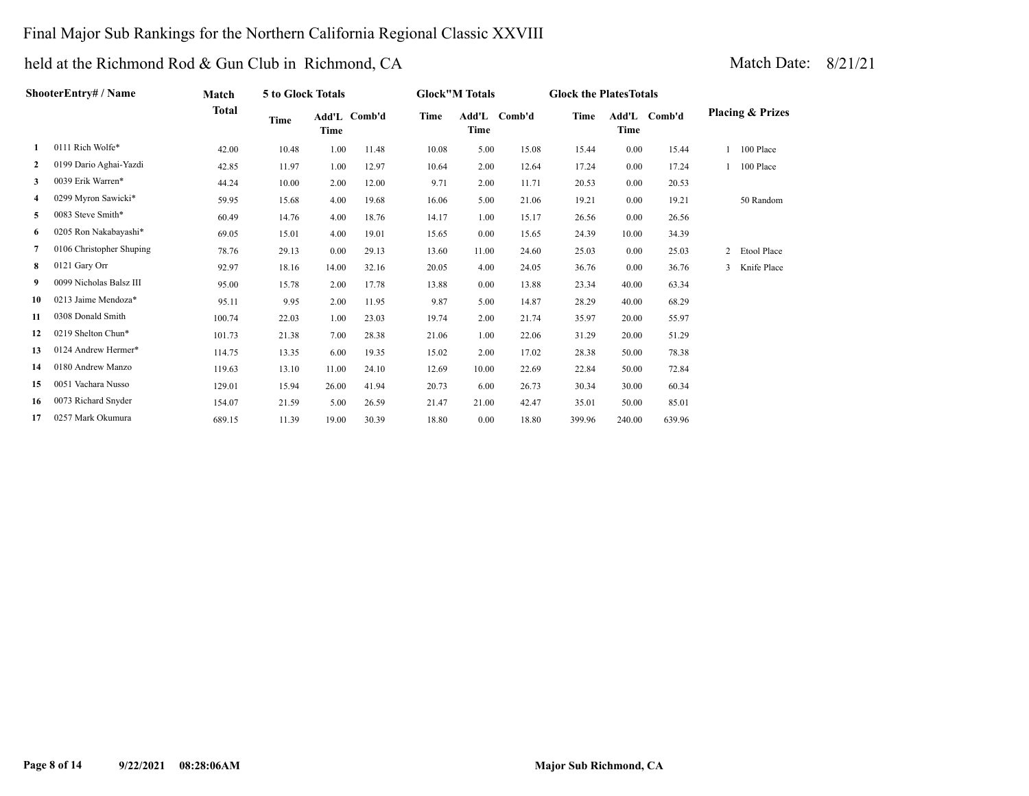#### Final Major Sub Rankings for the Northern California Regional Classic XXVIII

# held at the Richmond Rod & Gun Club in Richmond, CA Match Date: 8/21/21

|              | ShooterEntry# / Name     | Match  | 5 to Glock Totals |       |              |       | <b>Glock</b> "M Totals |        | <b>Glock the Plates Totals</b> |             |              |                |                             |
|--------------|--------------------------|--------|-------------------|-------|--------------|-------|------------------------|--------|--------------------------------|-------------|--------------|----------------|-----------------------------|
|              |                          | Total  | Time              | Time  | Add'L Comb'd | Time  | Add'L<br>Time          | Comb'd | Time                           | <b>Time</b> | Add'L Comb'd |                | <b>Placing &amp; Prizes</b> |
|              | 0111 Rich Wolfe*         | 42.00  | 10.48             | 1.00  | 11.48        | 10.08 | 5.00                   | 15.08  | 15.44                          | 0.00        | 15.44        |                | 100 Place                   |
| $\mathbf{2}$ | 0199 Dario Aghai-Yazdi   | 42.85  | 11.97             | 1.00  | 12.97        | 10.64 | 2.00                   | 12.64  | 17.24                          | 0.00        | 17.24        |                | 100 Place                   |
| 3            | 0039 Erik Warren*        | 44.24  | 10.00             | 2.00  | 12.00        | 9.71  | 2.00                   | 11.71  | 20.53                          | 0.00        | 20.53        |                |                             |
| 4            | 0299 Myron Sawicki*      | 59.95  | 15.68             | 4.00  | 19.68        | 16.06 | 5.00                   | 21.06  | 19.21                          | 0.00        | 19.21        |                | 50 Random                   |
| 5            | 0083 Steve Smith*        | 60.49  | 14.76             | 4.00  | 18.76        | 14.17 | 1.00                   | 15.17  | 26.56                          | 0.00        | 26.56        |                |                             |
| 6            | 0205 Ron Nakabayashi*    | 69.05  | 15.01             | 4.00  | 19.01        | 15.65 | 0.00                   | 15.65  | 24.39                          | 10.00       | 34.39        |                |                             |
| 7            | 0106 Christopher Shuping | 78.76  | 29.13             | 0.00  | 29.13        | 13.60 | 11.00                  | 24.60  | 25.03                          | 0.00        | 25.03        |                | 2 Etool Place               |
| 8            | 0121 Gary Orr            | 92.97  | 18.16             | 14.00 | 32.16        | 20.05 | 4.00                   | 24.05  | 36.76                          | 0.00        | 36.76        | $\overline{3}$ | Knife Place                 |
| 9            | 0099 Nicholas Balsz III  | 95.00  | 15.78             | 2.00  | 17.78        | 13.88 | 0.00                   | 13.88  | 23.34                          | 40.00       | 63.34        |                |                             |
| 10           | 0213 Jaime Mendoza*      | 95.11  | 9.95              | 2.00  | 11.95        | 9.87  | 5.00                   | 14.87  | 28.29                          | 40.00       | 68.29        |                |                             |
| 11           | 0308 Donald Smith        | 100.74 | 22.03             | 1.00  | 23.03        | 19.74 | 2.00                   | 21.74  | 35.97                          | 20.00       | 55.97        |                |                             |
| 12           | 0219 Shelton Chun*       | 101.73 | 21.38             | 7.00  | 28.38        | 21.06 | 1.00                   | 22.06  | 31.29                          | 20.00       | 51.29        |                |                             |
| 13           | 0124 Andrew Hermer*      | 114.75 | 13.35             | 6.00  | 19.35        | 15.02 | 2.00                   | 17.02  | 28.38                          | 50.00       | 78.38        |                |                             |
| 14           | 0180 Andrew Manzo        | 119.63 | 13.10             | 11.00 | 24.10        | 12.69 | 10.00                  | 22.69  | 22.84                          | 50.00       | 72.84        |                |                             |
| 15           | 0051 Vachara Nusso       | 129.01 | 15.94             | 26.00 | 41.94        | 20.73 | 6.00                   | 26.73  | 30.34                          | 30.00       | 60.34        |                |                             |
| 16           | 0073 Richard Snyder      | 154.07 | 21.59             | 5.00  | 26.59        | 21.47 | 21.00                  | 42.47  | 35.01                          | 50.00       | 85.01        |                |                             |

 **17** 0257 Mark Okumura 689.15 11.39 19.00 30.39 18.80 0.00 18.80 399.96 240.00 639.96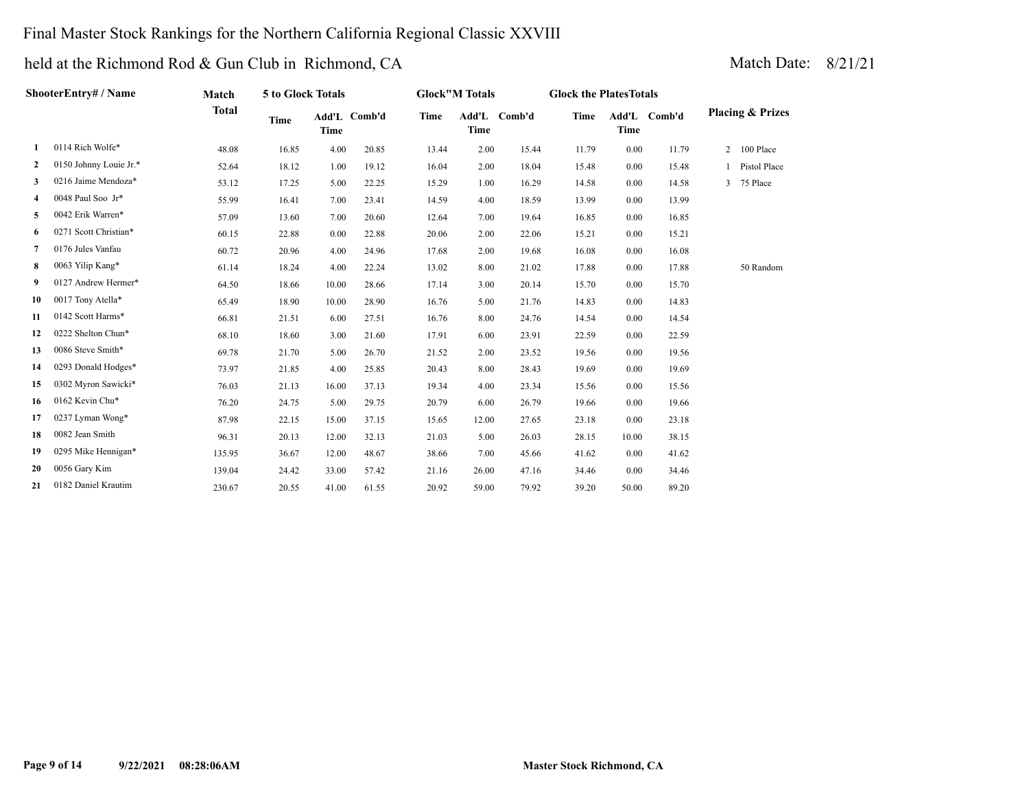### Final Master Stock Rankings for the Northern California Regional Classic XXVIII

|    | ShooterEntry# / Name   | Match        | 5 to Glock Totals |             |              |             | <b>Glock"M Totals</b> |              | <b>Glock the PlatesTotals</b> |             |              |                             |  |
|----|------------------------|--------------|-------------------|-------------|--------------|-------------|-----------------------|--------------|-------------------------------|-------------|--------------|-----------------------------|--|
|    |                        | <b>Total</b> | <b>Time</b>       | <b>Time</b> | Add'L Comb'd | <b>Time</b> | <b>Time</b>           | Add'L Comb'd | <b>Time</b>                   | <b>Time</b> | Add'L Comb'd | <b>Placing &amp; Prizes</b> |  |
| 1  | 0114 Rich Wolfe*       | 48.08        | 16.85             | 4.00        | 20.85        | 13.44       | 2.00                  | 15.44        | 11.79                         | 0.00        | 11.79        | 2 100 Place                 |  |
| 2  | 0150 Johnny Louie Jr.* | 52.64        | 18.12             | 1.00        | 19.12        | 16.04       | 2.00                  | 18.04        | 15.48                         | 0.00        | 15.48        | Pistol Place                |  |
| 3  | 0216 Jaime Mendoza*    | 53.12        | 17.25             | 5.00        | 22.25        | 15.29       | 1.00                  | 16.29        | 14.58                         | 0.00        | 14.58        | 3 75 Place                  |  |
| 4  | 0048 Paul Soo Jr*      | 55.99        | 16.41             | 7.00        | 23.41        | 14.59       | 4.00                  | 18.59        | 13.99                         | 0.00        | 13.99        |                             |  |
| 5  | 0042 Erik Warren*      | 57.09        | 13.60             | 7.00        | 20.60        | 12.64       | 7.00                  | 19.64        | 16.85                         | 0.00        | 16.85        |                             |  |
| 6  | 0271 Scott Christian*  | 60.15        | 22.88             | 0.00        | 22.88        | 20.06       | 2.00                  | 22.06        | 15.21                         | 0.00        | 15.21        |                             |  |
| 7  | 0176 Jules Vanfau      | 60.72        | 20.96             | 4.00        | 24.96        | 17.68       | 2.00                  | 19.68        | 16.08                         | 0.00        | 16.08        |                             |  |
| 8  | 0063 Yilip Kang*       | 61.14        | 18.24             | 4.00        | 22.24        | 13.02       | 8.00                  | 21.02        | 17.88                         | 0.00        | 17.88        | 50 Random                   |  |
| 9  | 0127 Andrew Hermer*    | 64.50        | 18.66             | 10.00       | 28.66        | 17.14       | 3.00                  | 20.14        | 15.70                         | 0.00        | 15.70        |                             |  |
| 10 | 0017 Tony Atella*      | 65.49        | 18.90             | 10.00       | 28.90        | 16.76       | 5.00                  | 21.76        | 14.83                         | 0.00        | 14.83        |                             |  |
| 11 | 0142 Scott Harms*      | 66.81        | 21.51             | 6.00        | 27.51        | 16.76       | 8.00                  | 24.76        | 14.54                         | 0.00        | 14.54        |                             |  |
| 12 | 0222 Shelton Chun*     | 68.10        | 18.60             | 3.00        | 21.60        | 17.91       | 6.00                  | 23.91        | 22.59                         | 0.00        | 22.59        |                             |  |
| 13 | 0086 Steve Smith*      | 69.78        | 21.70             | 5.00        | 26.70        | 21.52       | 2.00                  | 23.52        | 19.56                         | 0.00        | 19.56        |                             |  |
| 14 | 0293 Donald Hodges*    | 73.97        | 21.85             | 4.00        | 25.85        | 20.43       | 8.00                  | 28.43        | 19.69                         | 0.00        | 19.69        |                             |  |
| 15 | 0302 Myron Sawicki*    | 76.03        | 21.13             | 16.00       | 37.13        | 19.34       | 4.00                  | 23.34        | 15.56                         | 0.00        | 15.56        |                             |  |
| 16 | 0162 Kevin Chu*        | 76.20        | 24.75             | 5.00        | 29.75        | 20.79       | 6.00                  | 26.79        | 19.66                         | 0.00        | 19.66        |                             |  |
| 17 | 0237 Lyman Wong*       | 87.98        | 22.15             | 15.00       | 37.15        | 15.65       | 12.00                 | 27.65        | 23.18                         | 0.00        | 23.18        |                             |  |
| 18 | 0082 Jean Smith        | 96.31        | 20.13             | 12.00       | 32.13        | 21.03       | 5.00                  | 26.03        | 28.15                         | 10.00       | 38.15        |                             |  |
| 19 | 0295 Mike Hennigan*    | 135.95       | 36.67             | 12.00       | 48.67        | 38.66       | 7.00                  | 45.66        | 41.62                         | 0.00        | 41.62        |                             |  |
| 20 | 0056 Gary Kim          | 139.04       | 24.42             | 33.00       | 57.42        | 21.16       | 26.00                 | 47.16        | 34.46                         | 0.00        | 34.46        |                             |  |
| 21 | 0182 Daniel Krautim    | 230.67       | 20.55             | 41.00       | 61.55        | 20.92       | 59.00                 | 79.92        | 39.20                         | 50.00       | 89.20        |                             |  |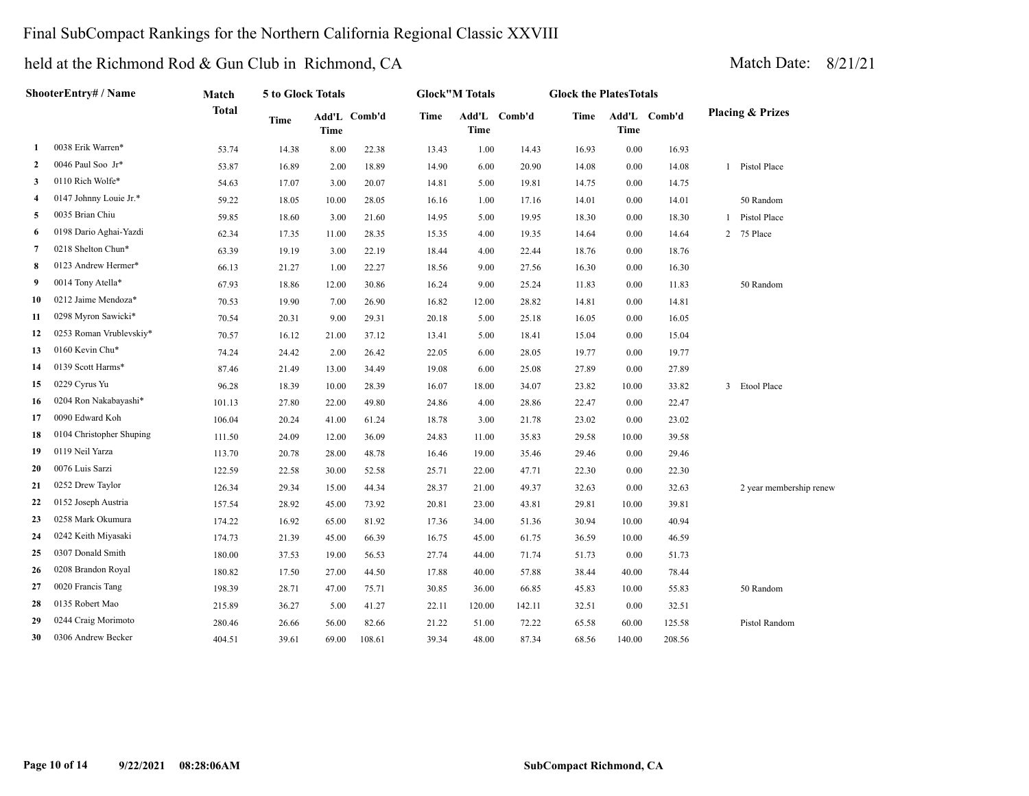### Final SubCompact Rankings for the Northern California Regional Classic XXVIII

| <b>ShooterEntry# / Name</b> |                          | Match        | 5 to Glock Totals |       |              | <b>Glock"M Totals</b> |             |              | <b>Glock the PlatesTotals</b> |             |              |                             |
|-----------------------------|--------------------------|--------------|-------------------|-------|--------------|-----------------------|-------------|--------------|-------------------------------|-------------|--------------|-----------------------------|
|                             |                          | <b>Total</b> | Time              | Time  | Add'L Comb'd | Time                  | <b>Time</b> | Add'L Comb'd | Time                          | <b>Time</b> | Add'L Comb'd | <b>Placing &amp; Prizes</b> |
| -1                          | 0038 Erik Warren*        | 53.74        | 14.38             | 8.00  | 22.38        | 13.43                 | 1.00        | 14.43        | 16.93                         | 0.00        | 16.93        |                             |
| 2                           | 0046 Paul Soo Jr*        | 53.87        | 16.89             | 2.00  | 18.89        | 14.90                 | 6.00        | 20.90        | 14.08                         | 0.00        | 14.08        | 1 Pistol Place              |
| 3                           | 0110 Rich Wolfe*         | 54.63        | 17.07             | 3.00  | 20.07        | 14.81                 | 5.00        | 19.81        | 14.75                         | 0.00        | 14.75        |                             |
| 4                           | 0147 Johnny Louie Jr.*   | 59.22        | 18.05             | 10.00 | 28.05        | 16.16                 | 1.00        | 17.16        | 14.01                         | 0.00        | 14.01        | 50 Random                   |
| 5                           | 0035 Brian Chiu          | 59.85        | 18.60             | 3.00  | 21.60        | 14.95                 | 5.00        | 19.95        | 18.30                         | 0.00        | 18.30        | 1 Pistol Place              |
| 6                           | 0198 Dario Aghai-Yazdi   | 62.34        | 17.35             | 11.00 | 28.35        | 15.35                 | 4.00        | 19.35        | 14.64                         | 0.00        | 14.64        | 2 75 Place                  |
| $\overline{7}$              | 0218 Shelton Chun*       | 63.39        | 19.19             | 3.00  | 22.19        | 18.44                 | 4.00        | 22.44        | 18.76                         | 0.00        | 18.76        |                             |
| 8                           | 0123 Andrew Hermer*      | 66.13        | 21.27             | 1.00  | 22.27        | 18.56                 | 9.00        | 27.56        | 16.30                         | 0.00        | 16.30        |                             |
| 9                           | 0014 Tony Atella*        | 67.93        | 18.86             | 12.00 | 30.86        | 16.24                 | 9.00        | 25.24        | 11.83                         | 0.00        | 11.83        | 50 Random                   |
| 10                          | 0212 Jaime Mendoza*      | 70.53        | 19.90             | 7.00  | 26.90        | 16.82                 | 12.00       | 28.82        | 14.81                         | 0.00        | 14.81        |                             |
| 11                          | 0298 Myron Sawicki*      | 70.54        | 20.31             | 9.00  | 29.31        | 20.18                 | 5.00        | 25.18        | 16.05                         | 0.00        | 16.05        |                             |
| 12                          | 0253 Roman Vrublevskiy*  | 70.57        | 16.12             | 21.00 | 37.12        | 13.41                 | 5.00        | 18.41        | 15.04                         | 0.00        | 15.04        |                             |
| 13                          | 0160 Kevin Chu*          | 74.24        | 24.42             | 2.00  | 26.42        | 22.05                 | 6.00        | 28.05        | 19.77                         | 0.00        | 19.77        |                             |
| 14                          | 0139 Scott Harms*        | 87.46        | 21.49             | 13.00 | 34.49        | 19.08                 | 6.00        | 25.08        | 27.89                         | 0.00        | 27.89        |                             |
| 15                          | 0229 Cyrus Yu            | 96.28        | 18.39             | 10.00 | 28.39        | 16.07                 | 18.00       | 34.07        | 23.82                         | 10.00       | 33.82        | 3 Etool Place               |
| 16                          | 0204 Ron Nakabayashi*    | 101.13       | 27.80             | 22.00 | 49.80        | 24.86                 | 4.00        | 28.86        | 22.47                         | 0.00        | 22.47        |                             |
| 17                          | 0090 Edward Koh          | 106.04       | 20.24             | 41.00 | 61.24        | 18.78                 | 3.00        | 21.78        | 23.02                         | 0.00        | 23.02        |                             |
| 18                          | 0104 Christopher Shuping | 111.50       | 24.09             | 12.00 | 36.09        | 24.83                 | 11.00       | 35.83        | 29.58                         | 10.00       | 39.58        |                             |
| 19                          | 0119 Neil Yarza          | 113.70       | 20.78             | 28.00 | 48.78        | 16.46                 | 19.00       | 35.46        | 29.46                         | 0.00        | 29.46        |                             |
| 20                          | 0076 Luis Sarzi          | 122.59       | 22.58             | 30.00 | 52.58        | 25.71                 | 22.00       | 47.71        | 22.30                         | 0.00        | 22.30        |                             |
| 21                          | 0252 Drew Taylor         | 126.34       | 29.34             | 15.00 | 44.34        | 28.37                 | 21.00       | 49.37        | 32.63                         | 0.00        | 32.63        | 2 year membership renew     |
| 22                          | 0152 Joseph Austria      | 157.54       | 28.92             | 45.00 | 73.92        | 20.81                 | 23.00       | 43.81        | 29.81                         | 10.00       | 39.81        |                             |
| 23                          | 0258 Mark Okumura        | 174.22       | 16.92             | 65.00 | 81.92        | 17.36                 | 34.00       | 51.36        | 30.94                         | 10.00       | 40.94        |                             |
| 24                          | 0242 Keith Miyasaki      | 174.73       | 21.39             | 45.00 | 66.39        | 16.75                 | 45.00       | 61.75        | 36.59                         | 10.00       | 46.59        |                             |
| 25                          | 0307 Donald Smith        | 180.00       | 37.53             | 19.00 | 56.53        | 27.74                 | 44.00       | 71.74        | 51.73                         | 0.00        | 51.73        |                             |
| 26                          | 0208 Brandon Royal       | 180.82       | 17.50             | 27.00 | 44.50        | 17.88                 | 40.00       | 57.88        | 38.44                         | 40.00       | 78.44        |                             |
| 27                          | 0020 Francis Tang        | 198.39       | 28.71             | 47.00 | 75.71        | 30.85                 | 36.00       | 66.85        | 45.83                         | 10.00       | 55.83        | 50 Random                   |
| 28                          | 0135 Robert Mao          | 215.89       | 36.27             | 5.00  | 41.27        | 22.11                 | 120.00      | 142.11       | 32.51                         | 0.00        | 32.51        |                             |
| 29                          | 0244 Craig Morimoto      | 280.46       | 26.66             | 56.00 | 82.66        | 21.22                 | 51.00       | 72.22        | 65.58                         | 60.00       | 125.58       | Pistol Random               |
| 30                          | 0306 Andrew Becker       | 404.51       | 39.61             | 69.00 | 108.61       | 39.34                 | 48.00       | 87.34        | 68.56                         | 140.00      | 208.56       |                             |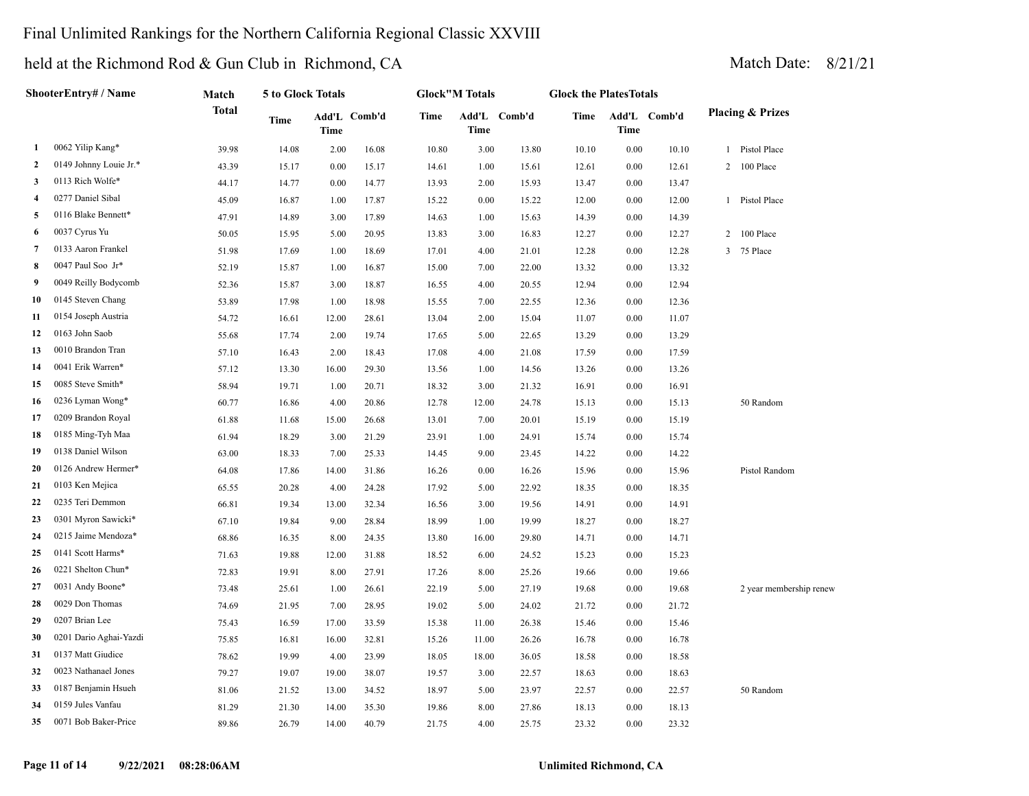### Final Unlimited Rankings for the Northern California Regional Classic XXVIII

| ShooterEntry# / Name |                        | Match | 5 to Glock Totals |             |              | <b>Glock"M Totals</b> |                      |       | <b>Glock the PlatesTotals</b> |      |              |                             |                         |  |
|----------------------|------------------------|-------|-------------------|-------------|--------------|-----------------------|----------------------|-------|-------------------------------|------|--------------|-----------------------------|-------------------------|--|
|                      |                        | Total |                   | <b>Time</b> | Add'L Comb'd | <b>Time</b>           | Add'L Comb'd<br>Time |       | Time                          | Time | Add'L Comb'd | <b>Placing &amp; Prizes</b> |                         |  |
| 1                    | 0062 Yilip Kang*       | 39.98 | 14.08             | 2.00        | 16.08        | 10.80                 | 3.00                 | 13.80 | 10.10                         | 0.00 | 10.10        |                             | 1 Pistol Place          |  |
| 2                    | 0149 Johnny Louie Jr.* | 43.39 | 15.17             | 0.00        | 15.17        | 14.61                 | 1.00                 | 15.61 | 12.61                         | 0.00 | 12.61        |                             | 2 100 Place             |  |
| 3                    | 0113 Rich Wolfe*       | 44.17 | 14.77             | 0.00        | 14.77        | 13.93                 | 2.00                 | 15.93 | 13.47                         | 0.00 | 13.47        |                             |                         |  |
| 4                    | 0277 Daniel Sibal      | 45.09 | 16.87             | 1.00        | 17.87        | 15.22                 | 0.00                 | 15.22 | 12.00                         | 0.00 | 12.00        |                             | 1 Pistol Place          |  |
| 5                    | 0116 Blake Bennett*    | 47.91 | 14.89             | 3.00        | 17.89        | 14.63                 | 1.00                 | 15.63 | 14.39                         | 0.00 | 14.39        |                             |                         |  |
| 6                    | 0037 Cyrus Yu          | 50.05 | 15.95             | 5.00        | 20.95        | 13.83                 | 3.00                 | 16.83 | 12.27                         | 0.00 | 12.27        | 2                           | 100 Place               |  |
| 7                    | 0133 Aaron Frankel     | 51.98 | 17.69             | 1.00        | 18.69        | 17.01                 | 4.00                 | 21.01 | 12.28                         | 0.00 | 12.28        | 3                           | 75 Place                |  |
| 8                    | 0047 Paul Soo Jr*      | 52.19 | 15.87             | 1.00        | 16.87        | 15.00                 | 7.00                 | 22.00 | 13.32                         | 0.00 | 13.32        |                             |                         |  |
| 9                    | 0049 Reilly Bodycomb   | 52.36 | 15.87             | 3.00        | 18.87        | 16.55                 | 4.00                 | 20.55 | 12.94                         | 0.00 | 12.94        |                             |                         |  |
| 10                   | 0145 Steven Chang      | 53.89 | 17.98             | 1.00        | 18.98        | 15.55                 | 7.00                 | 22.55 | 12.36                         | 0.00 | 12.36        |                             |                         |  |
| 11                   | 0154 Joseph Austria    | 54.72 | 16.61             | 12.00       | 28.61        | 13.04                 | 2.00                 | 15.04 | 11.07                         | 0.00 | 11.07        |                             |                         |  |
| 12                   | 0163 John Saob         | 55.68 | 17.74             | 2.00        | 19.74        | 17.65                 | 5.00                 | 22.65 | 13.29                         | 0.00 | 13.29        |                             |                         |  |
| 13                   | 0010 Brandon Tran      | 57.10 | 16.43             | 2.00        | 18.43        | 17.08                 | 4.00                 | 21.08 | 17.59                         | 0.00 | 17.59        |                             |                         |  |
| 14                   | 0041 Erik Warren*      | 57.12 | 13.30             | 16.00       | 29.30        | 13.56                 | 1.00                 | 14.56 | 13.26                         | 0.00 | 13.26        |                             |                         |  |
| 15                   | 0085 Steve Smith*      | 58.94 | 19.71             | 1.00        | 20.71        | 18.32                 | 3.00                 | 21.32 | 16.91                         | 0.00 | 16.91        |                             |                         |  |
| 16                   | 0236 Lyman Wong*       | 60.77 | 16.86             | 4.00        | 20.86        | 12.78                 | 12.00                | 24.78 | 15.13                         | 0.00 | 15.13        |                             | 50 Random               |  |
| 17                   | 0209 Brandon Royal     | 61.88 | 11.68             | 15.00       | 26.68        | 13.01                 | 7.00                 | 20.01 | 15.19                         | 0.00 | 15.19        |                             |                         |  |
| 18                   | 0185 Ming-Tyh Maa      | 61.94 | 18.29             | 3.00        | 21.29        | 23.91                 | 1.00                 | 24.91 | 15.74                         | 0.00 | 15.74        |                             |                         |  |
| 19                   | 0138 Daniel Wilson     | 63.00 | 18.33             | 7.00        | 25.33        | 14.45                 | 9.00                 | 23.45 | 14.22                         | 0.00 | 14.22        |                             |                         |  |
| 20                   | 0126 Andrew Hermer*    | 64.08 | 17.86             | 14.00       | 31.86        | 16.26                 | 0.00                 | 16.26 | 15.96                         | 0.00 | 15.96        |                             | Pistol Random           |  |
| 21                   | 0103 Ken Mejica        | 65.55 | 20.28             | 4.00        | 24.28        | 17.92                 | 5.00                 | 22.92 | 18.35                         | 0.00 | 18.35        |                             |                         |  |
| 22                   | 0235 Teri Demmon       | 66.81 | 19.34             | 13.00       | 32.34        | 16.56                 | 3.00                 | 19.56 | 14.91                         | 0.00 | 14.91        |                             |                         |  |
| 23                   | 0301 Myron Sawicki*    | 67.10 | 19.84             | 9.00        | 28.84        | 18.99                 | 1.00                 | 19.99 | 18.27                         | 0.00 | 18.27        |                             |                         |  |
| 24                   | 0215 Jaime Mendoza*    | 68.86 | 16.35             | 8.00        | 24.35        | 13.80                 | 16.00                | 29.80 | 14.71                         | 0.00 | 14.71        |                             |                         |  |
| 25                   | 0141 Scott Harms*      | 71.63 | 19.88             | 12.00       | 31.88        | 18.52                 | 6.00                 | 24.52 | 15.23                         | 0.00 | 15.23        |                             |                         |  |
| 26                   | 0221 Shelton Chun*     | 72.83 | 19.91             | 8.00        | 27.91        | 17.26                 | 8.00                 | 25.26 | 19.66                         | 0.00 | 19.66        |                             |                         |  |
| 27                   | 0031 Andy Boone*       | 73.48 | 25.61             | 1.00        | 26.61        | 22.19                 | 5.00                 | 27.19 | 19.68                         | 0.00 | 19.68        |                             | 2 year membership renew |  |
| 28                   | 0029 Don Thomas        | 74.69 | 21.95             | 7.00        | 28.95        | 19.02                 | 5.00                 | 24.02 | 21.72                         | 0.00 | 21.72        |                             |                         |  |
| 29                   | 0207 Brian Lee         | 75.43 | 16.59             | 17.00       | 33.59        | 15.38                 | 11.00                | 26.38 | 15.46                         | 0.00 | 15.46        |                             |                         |  |
| 30                   | 0201 Dario Aghai-Yazdi | 75.85 | 16.81             | 16.00       | 32.81        | 15.26                 | 11.00                | 26.26 | 16.78                         | 0.00 | 16.78        |                             |                         |  |
| 31                   | 0137 Matt Giudice      | 78.62 | 19.99             | 4.00        | 23.99        | 18.05                 | 18.00                | 36.05 | 18.58                         | 0.00 | 18.58        |                             |                         |  |
| 32                   | 0023 Nathanael Jones   | 79.27 | 19.07             | 19.00       | 38.07        | 19.57                 | 3.00                 | 22.57 | 18.63                         | 0.00 | 18.63        |                             |                         |  |
| 33                   | 0187 Benjamin Hsueh    | 81.06 | 21.52             | 13.00       | 34.52        | 18.97                 | 5.00                 | 23.97 | 22.57                         | 0.00 | 22.57        |                             | 50 Random               |  |
| 34                   | 0159 Jules Vanfau      | 81.29 | 21.30             | 14.00       | 35.30        | 19.86                 | 8.00                 | 27.86 | 18.13                         | 0.00 | 18.13        |                             |                         |  |
| 35                   | 0071 Bob Baker-Price   | 89.86 | 26.79             | 14.00       | 40.79        | 21.75                 | 4.00                 | 25.75 | 23.32                         | 0.00 | 23.32        |                             |                         |  |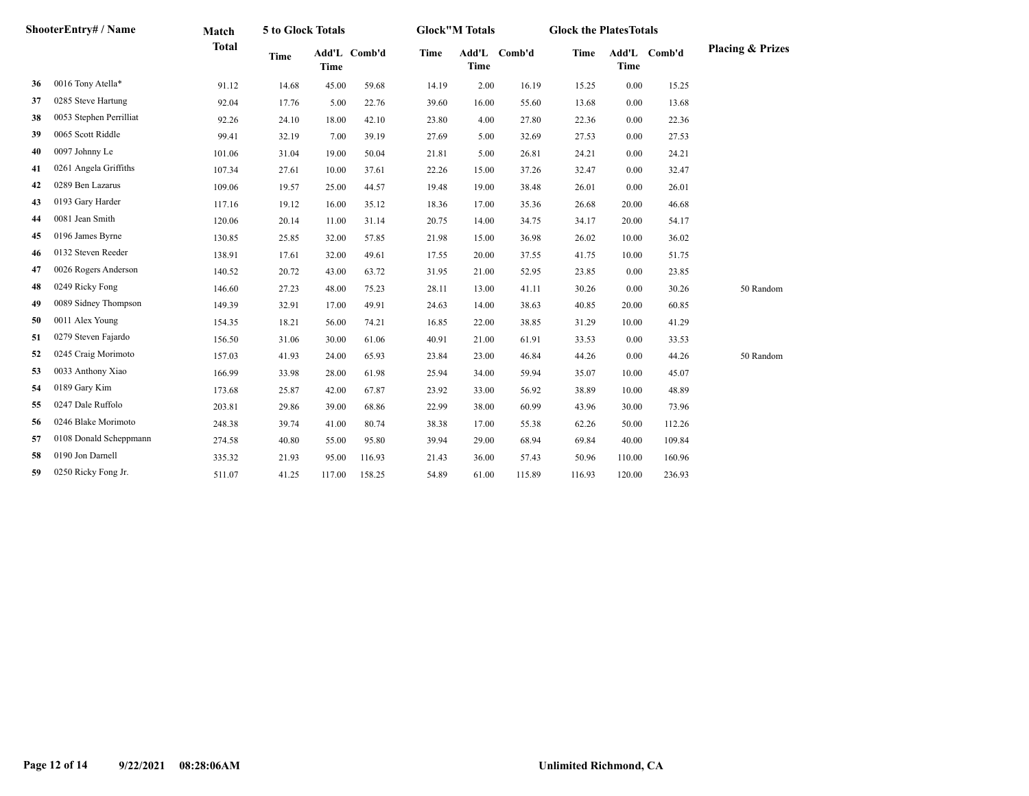| ShooterEntry# / Name |                         | Match        | 5 to Glock Totals |             |              | <b>Glock</b> "M Totals |             |              | <b>Glock the PlatesTotals</b> |             |              |                             |
|----------------------|-------------------------|--------------|-------------------|-------------|--------------|------------------------|-------------|--------------|-------------------------------|-------------|--------------|-----------------------------|
|                      |                         | <b>Total</b> | <b>Time</b>       | <b>Time</b> | Add'L Comb'd | <b>Time</b>            | <b>Time</b> | Add'L Comb'd | <b>Time</b>                   | <b>Time</b> | Add'L Comb'd | <b>Placing &amp; Prizes</b> |
| 36                   | 0016 Tony Atella*       | 91.12        | 14.68             | 45.00       | 59.68        | 14.19                  | 2.00        | 16.19        | 15.25                         | 0.00        | 15.25        |                             |
| 37                   | 0285 Steve Hartung      | 92.04        | 17.76             | 5.00        | 22.76        | 39.60                  | 16.00       | 55.60        | 13.68                         | 0.00        | 13.68        |                             |
| 38                   | 0053 Stephen Perrilliat | 92.26        | 24.10             | 18.00       | 42.10        | 23.80                  | 4.00        | 27.80        | 22.36                         | 0.00        | 22.36        |                             |
| 39                   | 0065 Scott Riddle       | 99.41        | 32.19             | 7.00        | 39.19        | 27.69                  | 5.00        | 32.69        | 27.53                         | 0.00        | 27.53        |                             |
| 40                   | 0097 Johnny Le          | 101.06       | 31.04             | 19.00       | 50.04        | 21.81                  | 5.00        | 26.81        | 24.21                         | 0.00        | 24.21        |                             |
| 41                   | 0261 Angela Griffiths   | 107.34       | 27.61             | 10.00       | 37.61        | 22.26                  | 15.00       | 37.26        | 32.47                         | 0.00        | 32.47        |                             |
| 42                   | 0289 Ben Lazarus        | 109.06       | 19.57             | 25.00       | 44.57        | 19.48                  | 19.00       | 38.48        | 26.01                         | 0.00        | 26.01        |                             |
| 43                   | 0193 Gary Harder        | 117.16       | 19.12             | 16.00       | 35.12        | 18.36                  | 17.00       | 35.36        | 26.68                         | 20.00       | 46.68        |                             |
| 44                   | 0081 Jean Smith         | 120.06       | 20.14             | 11.00       | 31.14        | 20.75                  | 14.00       | 34.75        | 34.17                         | 20.00       | 54.17        |                             |
| 45                   | 0196 James Byrne        | 130.85       | 25.85             | 32.00       | 57.85        | 21.98                  | 15.00       | 36.98        | 26.02                         | 10.00       | 36.02        |                             |
| 46                   | 0132 Steven Reeder      | 138.91       | 17.61             | 32.00       | 49.61        | 17.55                  | 20.00       | 37.55        | 41.75                         | 10.00       | 51.75        |                             |
| 47                   | 0026 Rogers Anderson    | 140.52       | 20.72             | 43.00       | 63.72        | 31.95                  | 21.00       | 52.95        | 23.85                         | 0.00        | 23.85        |                             |
| 48                   | 0249 Ricky Fong         | 146.60       | 27.23             | 48.00       | 75.23        | 28.11                  | 13.00       | 41.11        | 30.26                         | 0.00        | 30.26        | 50 Random                   |
| 49                   | 0089 Sidney Thompson    | 149.39       | 32.91             | 17.00       | 49.91        | 24.63                  | 14.00       | 38.63        | 40.85                         | 20.00       | 60.85        |                             |
| 50                   | 0011 Alex Young         | 154.35       | 18.21             | 56.00       | 74.21        | 16.85                  | 22.00       | 38.85        | 31.29                         | 10.00       | 41.29        |                             |
| 51                   | 0279 Steven Fajardo     | 156.50       | 31.06             | 30.00       | 61.06        | 40.91                  | 21.00       | 61.91        | 33.53                         | 0.00        | 33.53        |                             |
| 52                   | 0245 Craig Morimoto     | 157.03       | 41.93             | 24.00       | 65.93        | 23.84                  | 23.00       | 46.84        | 44.26                         | 0.00        | 44.26        | 50 Random                   |
| 53                   | 0033 Anthony Xiao       | 166.99       | 33.98             | 28.00       | 61.98        | 25.94                  | 34.00       | 59.94        | 35.07                         | 10.00       | 45.07        |                             |
| 54                   | 0189 Gary Kim           | 173.68       | 25.87             | 42.00       | 67.87        | 23.92                  | 33.00       | 56.92        | 38.89                         | 10.00       | 48.89        |                             |
| 55                   | 0247 Dale Ruffolo       | 203.81       | 29.86             | 39.00       | 68.86        | 22.99                  | 38.00       | 60.99        | 43.96                         | 30.00       | 73.96        |                             |
| 56                   | 0246 Blake Morimoto     | 248.38       | 39.74             | 41.00       | 80.74        | 38.38                  | 17.00       | 55.38        | 62.26                         | 50.00       | 112.26       |                             |
| 57                   | 0108 Donald Scheppmann  | 274.58       | 40.80             | 55.00       | 95.80        | 39.94                  | 29.00       | 68.94        | 69.84                         | 40.00       | 109.84       |                             |
| 58                   | 0190 Jon Darnell        | 335.32       | 21.93             | 95.00       | 116.93       | 21.43                  | 36.00       | 57.43        | 50.96                         | 110.00      | 160.96       |                             |
| 59                   | 0250 Ricky Fong Jr.     | 511.07       | 41.25             | 117.00      | 158.25       | 54.89                  | 61.00       | 115.89       | 116.93                        | 120.00      | 236.93       |                             |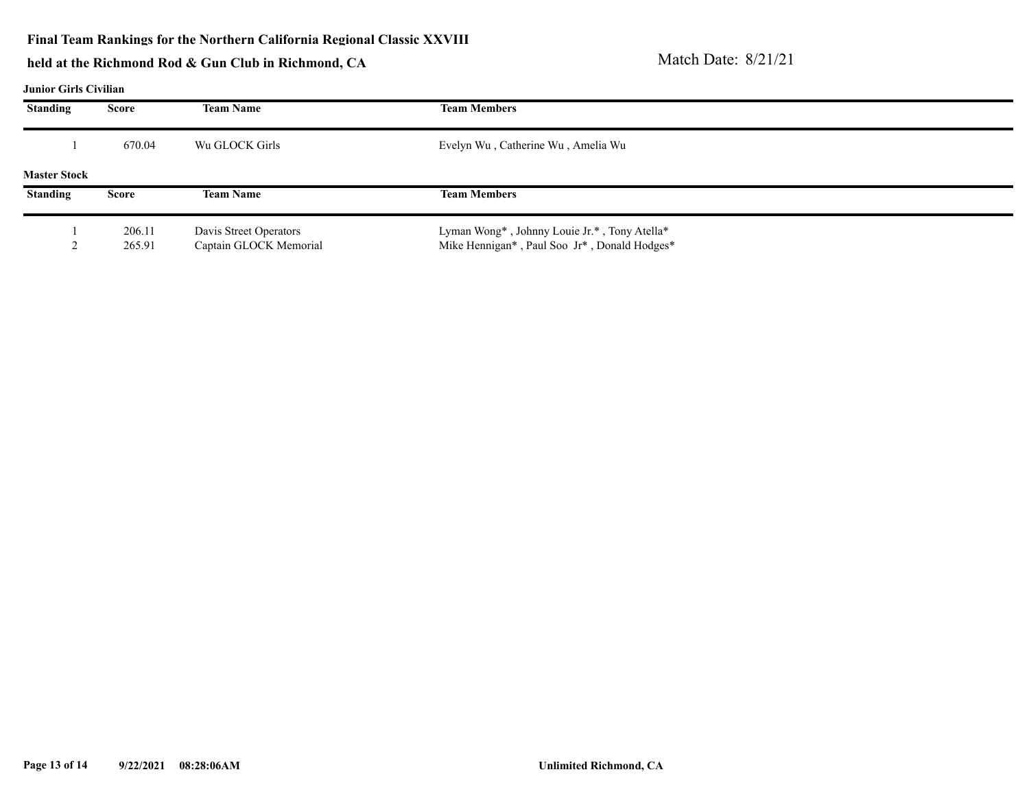#### **Final Team Rankings for the Northern California Regional Classic XXVIII**

# **held at the Richmond Rod & Gun Club in Richmond, CA** Match Date: 8/21/21

#### **Junior Girls Civilian**

| <b>Standing</b>     | Score  | <b>Team Name</b>       | <b>Team Members</b>                          |  |
|---------------------|--------|------------------------|----------------------------------------------|--|
|                     | 670.04 | Wu GLOCK Girls         | Evelyn Wu, Catherine Wu, Amelia Wu           |  |
| <b>Master Stock</b> |        |                        |                                              |  |
| <b>Standing</b>     | Score  | <b>Team Name</b>       | <b>Team Members</b>                          |  |
|                     | 206.11 | Davis Street Operators | Lyman Wong*, Johnny Louie Jr.*, Tony Atella* |  |
|                     | 265.91 | Captain GLOCK Memorial | Mike Hennigan*, Paul Soo Jr*, Donald Hodges* |  |